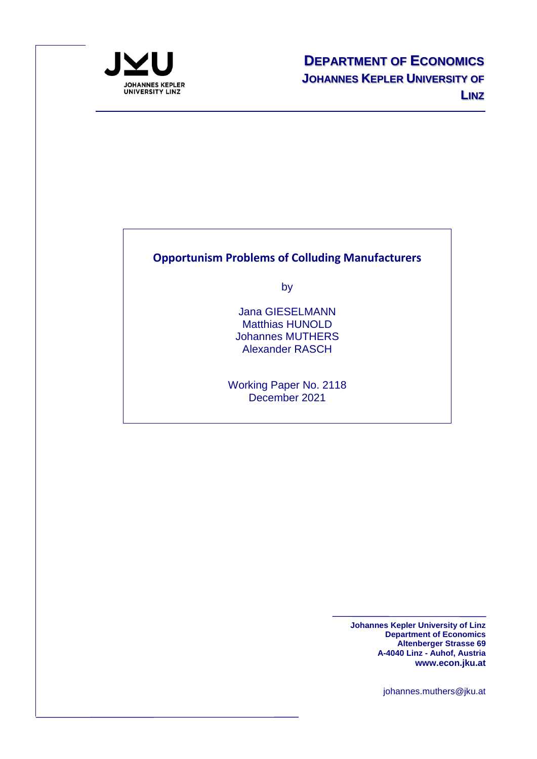

### **Opportunism Problems of Colluding Manufacturers**

by

Jana GIESELMANN Matthias HUNOLD Johannes MUTHERS Alexander RASCH

Working Paper No. 2118 December 2021

> **Johannes Kepler University of Linz Department of Economics Altenberger Strasse 69 A-4040 Linz - Auhof, Austria www.econ.jku.at**

> > johannes.muthers@jku.at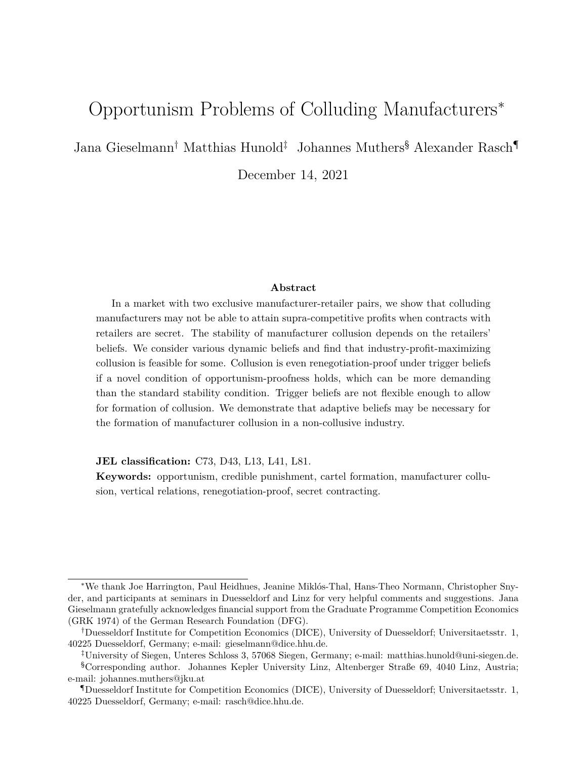# Opportunism Problems of Colluding Manufacturers<sup>∗</sup>

Jana Gieselmann† Matthias Hunold‡ Johannes Muthers§ Alexander Rasch¶

December 14, 2021

#### **Abstract**

In a market with two exclusive manufacturer-retailer pairs, we show that colluding manufacturers may not be able to attain supra-competitive profits when contracts with retailers are secret. The stability of manufacturer collusion depends on the retailers' beliefs. We consider various dynamic beliefs and find that industry-profit-maximizing collusion is feasible for some. Collusion is even renegotiation-proof under trigger beliefs if a novel condition of opportunism-proofness holds, which can be more demanding than the standard stability condition. Trigger beliefs are not flexible enough to allow for formation of collusion. We demonstrate that adaptive beliefs may be necessary for the formation of manufacturer collusion in a non-collusive industry.

**JEL classification:** C73, D43, L13, L41, L81.

**Keywords:** opportunism, credible punishment, cartel formation, manufacturer collusion, vertical relations, renegotiation-proof, secret contracting.

<sup>∗</sup>We thank Joe Harrington, Paul Heidhues, Jeanine Miklós-Thal, Hans-Theo Normann, Christopher Snyder, and participants at seminars in Duesseldorf and Linz for very helpful comments and suggestions. Jana Gieselmann gratefully acknowledges financial support from the Graduate Programme Competition Economics (GRK 1974) of the German Research Foundation (DFG).

<sup>†</sup>Duesseldorf Institute for Competition Economics (DICE), University of Duesseldorf; Universitaetsstr. 1, 40225 Duesseldorf, Germany; e-mail: gieselmann@dice.hhu.de.

<sup>‡</sup>University of Siegen, Unteres Schloss 3, 57068 Siegen, Germany; e-mail: matthias.hunold@uni-siegen.de.

<sup>§</sup>Corresponding author. Johannes Kepler University Linz, Altenberger Straße 69, 4040 Linz, Austria; e-mail: johannes.muthers@jku.at

<sup>¶</sup>Duesseldorf Institute for Competition Economics (DICE), University of Duesseldorf; Universitaetsstr. 1, 40225 Duesseldorf, Germany; e-mail: rasch@dice.hhu.de.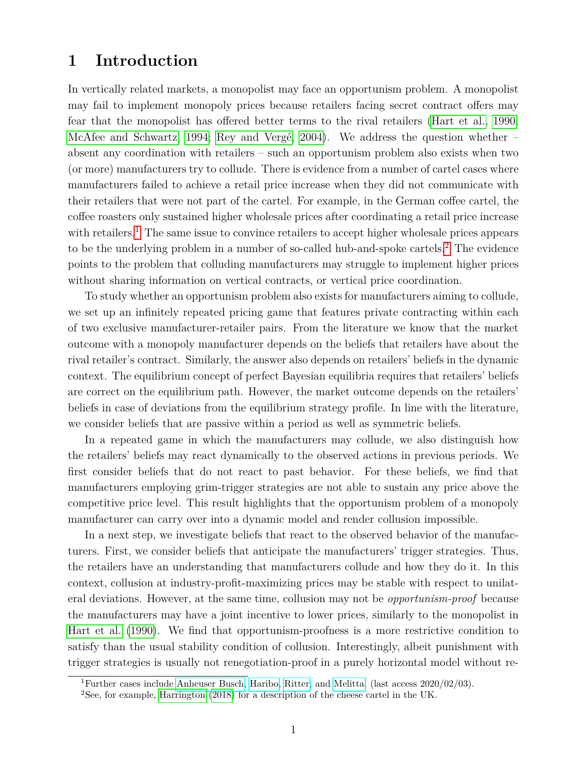## **1 Introduction**

In vertically related markets, a monopolist may face an opportunism problem. A monopolist may fail to implement monopoly prices because retailers facing secret contract offers may fear that the monopolist has offered better terms to the rival retailers [\(Hart et al., 1990;](#page-27-0) [McAfee and Schwartz, 1994;](#page-28-0) [Rey and Vergé, 2004\)](#page-29-0). We address the question whether – absent any coordination with retailers – such an opportunism problem also exists when two (or more) manufacturers try to collude. There is evidence from a number of cartel cases where manufacturers failed to achieve a retail price increase when they did not communicate with their retailers that were not part of the cartel. For example, in the German coffee cartel, the coffee roasters only sustained higher wholesale prices after coordinating a retail price increase with retailers.<sup>[1](#page-2-0)</sup> The same issue to convince retailers to accept higher wholesale prices appears to be the underlying problem in a number of so-called hub-and-spoke cartels.<sup>[2](#page-2-1)</sup> The evidence points to the problem that colluding manufacturers may struggle to implement higher prices without sharing information on vertical contracts, or vertical price coordination.

To study whether an opportunism problem also exists for manufacturers aiming to collude, we set up an infinitely repeated pricing game that features private contracting within each of two exclusive manufacturer-retailer pairs. From the literature we know that the market outcome with a monopoly manufacturer depends on the beliefs that retailers have about the rival retailer's contract. Similarly, the answer also depends on retailers' beliefs in the dynamic context. The equilibrium concept of perfect Bayesian equilibria requires that retailers' beliefs are correct on the equilibrium path. However, the market outcome depends on the retailers' beliefs in case of deviations from the equilibrium strategy profile. In line with the literature, we consider beliefs that are passive within a period as well as symmetric beliefs.

In a repeated game in which the manufacturers may collude, we also distinguish how the retailers' beliefs may react dynamically to the observed actions in previous periods. We first consider beliefs that do not react to past behavior. For these beliefs, we find that manufacturers employing grim-trigger strategies are not able to sustain any price above the competitive price level. This result highlights that the opportunism problem of a monopoly manufacturer can carry over into a dynamic model and render collusion impossible.

In a next step, we investigate beliefs that react to the observed behavior of the manufacturers. First, we consider beliefs that anticipate the manufacturers' trigger strategies. Thus, the retailers have an understanding that manufacturers collude and how they do it. In this context, collusion at industry-profit-maximizing prices may be stable with respect to unilateral deviations. However, at the same time, collusion may not be *opportunism-proof* because the manufacturers may have a joint incentive to lower prices, similarly to the monopolist in [Hart et al.](#page-27-0) [\(1990\)](#page-27-0). We find that opportunism-proofness is a more restrictive condition to satisfy than the usual stability condition of collusion. Interestingly, albeit punishment with trigger strategies is usually not renegotiation-proof in a purely horizontal model without re-

<span id="page-2-0"></span><sup>&</sup>lt;sup>1</sup>Further cases include [Anheuser Busch,](https://www.bundeskartellamt.de/SharedDocs/Entscheidung/EN/Fallberichte/Kartellverbot/2016/B10-20-15.pdf?__blob=publicationFile&v=3) [Haribo,](https://www.bundeskartellamt.de/SharedDocs/Entscheidung/EN/Fallberichte/Kartellverbot/2017/B10-40-14.pdf) [Ritter,](https://www.bundeskartellamt.de/SharedDocs/Entscheidung/EN/Fallberichte/Kartellverbot/2015/B10-41-14.pdf?__blob=publicationFile&v=2) and [Melitta;](https://www.bundeskartellamt.de/SharedDocs/Entscheidung/EN/Fallberichte/Kartellverbot/2016/B10-50-14.pdf?__blob=publicationFile&v=2) (last access  $2020/02/03$ ).

<span id="page-2-1"></span><sup>2</sup>See, for example, [Harrington](#page-27-1) [\(2018\)](#page-27-1) for a description of the cheese cartel in the UK.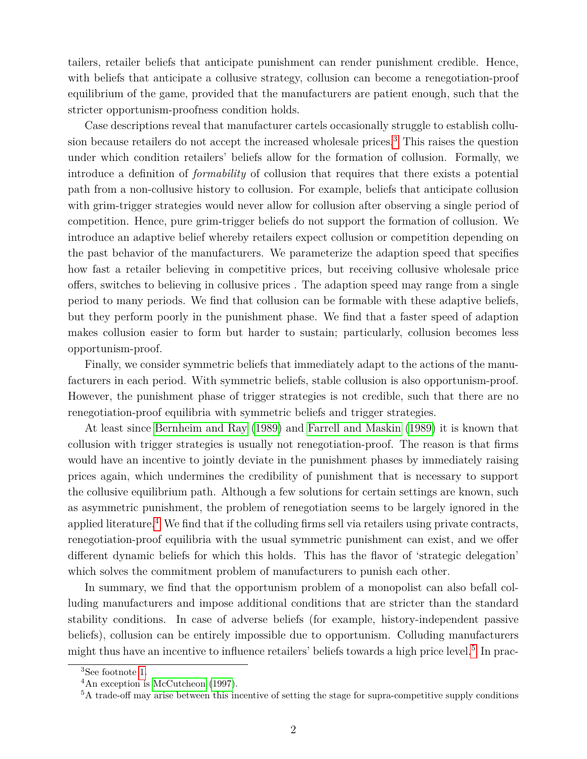tailers, retailer beliefs that anticipate punishment can render punishment credible. Hence, with beliefs that anticipate a collusive strategy, collusion can become a renegotiation-proof equilibrium of the game, provided that the manufacturers are patient enough, such that the stricter opportunism-proofness condition holds.

Case descriptions reveal that manufacturer cartels occasionally struggle to establish collu-sion because retailers do not accept the increased wholesale prices.<sup>[3](#page-3-0)</sup> This raises the question under which condition retailers' beliefs allow for the formation of collusion. Formally, we introduce a definition of *formability* of collusion that requires that there exists a potential path from a non-collusive history to collusion. For example, beliefs that anticipate collusion with grim-trigger strategies would never allow for collusion after observing a single period of competition. Hence, pure grim-trigger beliefs do not support the formation of collusion. We introduce an adaptive belief whereby retailers expect collusion or competition depending on the past behavior of the manufacturers. We parameterize the adaption speed that specifies how fast a retailer believing in competitive prices, but receiving collusive wholesale price offers, switches to believing in collusive prices . The adaption speed may range from a single period to many periods. We find that collusion can be formable with these adaptive beliefs, but they perform poorly in the punishment phase. We find that a faster speed of adaption makes collusion easier to form but harder to sustain; particularly, collusion becomes less opportunism-proof.

Finally, we consider symmetric beliefs that immediately adapt to the actions of the manufacturers in each period. With symmetric beliefs, stable collusion is also opportunism-proof. However, the punishment phase of trigger strategies is not credible, such that there are no renegotiation-proof equilibria with symmetric beliefs and trigger strategies.

At least since [Bernheim and Ray](#page-27-2) [\(1989\)](#page-27-2) and [Farrell and Maskin](#page-27-3) [\(1989\)](#page-27-3) it is known that collusion with trigger strategies is usually not renegotiation-proof. The reason is that firms would have an incentive to jointly deviate in the punishment phases by immediately raising prices again, which undermines the credibility of punishment that is necessary to support the collusive equilibrium path. Although a few solutions for certain settings are known, such as asymmetric punishment, the problem of renegotiation seems to be largely ignored in the applied literature.<sup>[4](#page-3-1)</sup> We find that if the colluding firms sell via retailers using private contracts, renegotiation-proof equilibria with the usual symmetric punishment can exist, and we offer different dynamic beliefs for which this holds. This has the flavor of 'strategic delegation' which solves the commitment problem of manufacturers to punish each other.

In summary, we find that the opportunism problem of a monopolist can also befall colluding manufacturers and impose additional conditions that are stricter than the standard stability conditions. In case of adverse beliefs (for example, history-independent passive beliefs), collusion can be entirely impossible due to opportunism. Colluding manufacturers might thus have an incentive to influence retailers' beliefs towards a high price level.<sup>[5](#page-3-2)</sup> In prac-

<span id="page-3-0"></span><sup>3</sup>See footnote [1.](#page-2-0)

<span id="page-3-1"></span><sup>4</sup>An exception is [McCutcheon](#page-28-1) [\(1997\)](#page-28-1).

<span id="page-3-2"></span><sup>5</sup>A trade-off may arise between this incentive of setting the stage for supra-competitive supply conditions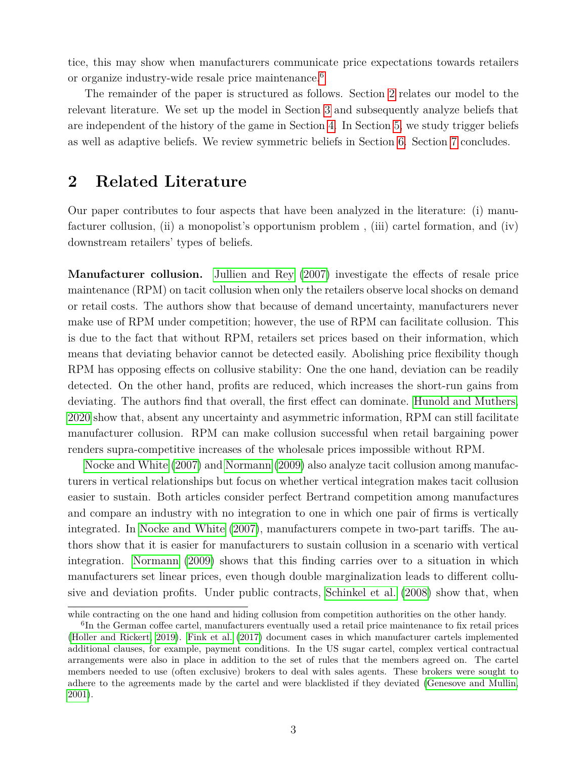tice, this may show when manufacturers communicate price expectations towards retailers or organize industry-wide resale price maintenance.<sup>[6](#page-4-0)</sup>

The remainder of the paper is structured as follows. Section [2](#page-4-1) relates our model to the relevant literature. We set up the model in Section [3](#page-7-0) and subsequently analyze beliefs that are independent of the history of the game in Section [4.](#page-8-0) In Section [5,](#page-10-0) we study trigger beliefs as well as adaptive beliefs. We review symmetric beliefs in Section [6.](#page-24-0) Section [7](#page-25-0) concludes.

### <span id="page-4-1"></span>**2 Related Literature**

Our paper contributes to four aspects that have been analyzed in the literature: (i) manufacturer collusion, (ii) a monopolist's opportunism problem , (iii) cartel formation, and (iv) downstream retailers' types of beliefs.

**Manufacturer collusion.** [Jullien and Rey](#page-28-2) [\(2007\)](#page-28-2) investigate the effects of resale price maintenance (RPM) on tacit collusion when only the retailers observe local shocks on demand or retail costs. The authors show that because of demand uncertainty, manufacturers never make use of RPM under competition; however, the use of RPM can facilitate collusion. This is due to the fact that without RPM, retailers set prices based on their information, which means that deviating behavior cannot be detected easily. Abolishing price flexibility though RPM has opposing effects on collusive stability: One the one hand, deviation can be readily detected. On the other hand, profits are reduced, which increases the short-run gains from deviating. The authors find that overall, the first effect can dominate. [Hunold and Muthers,](#page-28-3) [2020](#page-28-3) show that, absent any uncertainty and asymmetric information, RPM can still facilitate manufacturer collusion. RPM can make collusion successful when retail bargaining power renders supra-competitive increases of the wholesale prices impossible without RPM.

[Nocke and White](#page-28-4) [\(2007\)](#page-28-4) and [Normann](#page-28-5) [\(2009\)](#page-28-5) also analyze tacit collusion among manufacturers in vertical relationships but focus on whether vertical integration makes tacit collusion easier to sustain. Both articles consider perfect Bertrand competition among manufactures and compare an industry with no integration to one in which one pair of firms is vertically integrated. In [Nocke and White](#page-28-4) [\(2007\)](#page-28-4), manufacturers compete in two-part tariffs. The authors show that it is easier for manufacturers to sustain collusion in a scenario with vertical integration. [Normann](#page-28-5) [\(2009\)](#page-28-5) shows that this finding carries over to a situation in which manufacturers set linear prices, even though double marginalization leads to different collusive and deviation profits. Under public contracts, [Schinkel et al.](#page-29-1) [\(2008\)](#page-29-1) show that, when

while contracting on the one hand and hiding collusion from competition authorities on the other handy.

<span id="page-4-0"></span><sup>&</sup>lt;sup>6</sup>In the German coffee cartel, manufacturers eventually used a retail price maintenance to fix retail prices [\(Holler and Rickert, 2019\)](#page-28-6). [Fink et al.](#page-27-4) [\(2017\)](#page-27-4) document cases in which manufacturer cartels implemented additional clauses, for example, payment conditions. In the US sugar cartel, complex vertical contractual arrangements were also in place in addition to the set of rules that the members agreed on. The cartel members needed to use (often exclusive) brokers to deal with sales agents. These brokers were sought to adhere to the agreements made by the cartel and were blacklisted if they deviated [\(Genesove and Mullin,](#page-27-5) [2001\)](#page-27-5).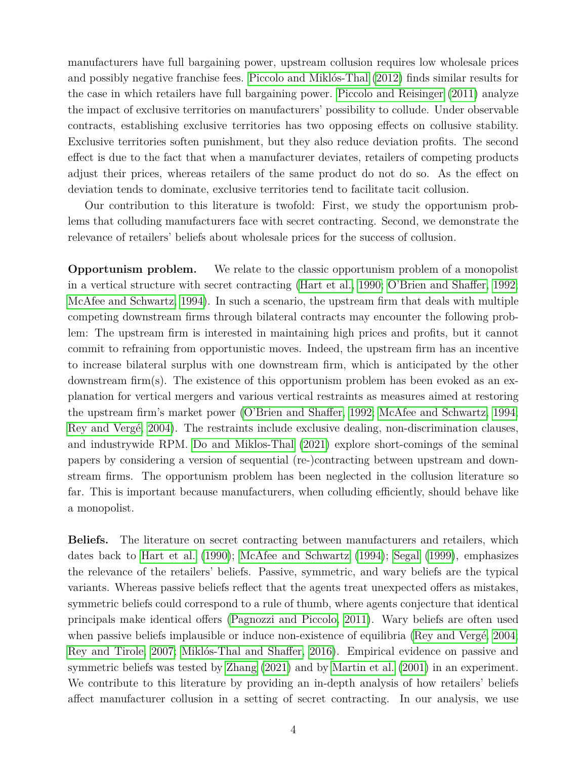manufacturers have full bargaining power, upstream collusion requires low wholesale prices and possibly negative franchise fees. [Piccolo and Miklós-Thal](#page-28-7) [\(2012\)](#page-28-7) finds similar results for the case in which retailers have full bargaining power. [Piccolo and Reisinger](#page-28-8) [\(2011\)](#page-28-8) analyze the impact of exclusive territories on manufacturers' possibility to collude. Under observable contracts, establishing exclusive territories has two opposing effects on collusive stability. Exclusive territories soften punishment, but they also reduce deviation profits. The second effect is due to the fact that when a manufacturer deviates, retailers of competing products adjust their prices, whereas retailers of the same product do not do so. As the effect on deviation tends to dominate, exclusive territories tend to facilitate tacit collusion.

Our contribution to this literature is twofold: First, we study the opportunism problems that colluding manufacturers face with secret contracting. Second, we demonstrate the relevance of retailers' beliefs about wholesale prices for the success of collusion.

**Opportunism problem.** We relate to the classic opportunism problem of a monopolist in a vertical structure with secret contracting [\(Hart et al., 1990;](#page-27-0) [O'Brien and Shaffer, 1992;](#page-28-9) [McAfee and Schwartz, 1994\)](#page-28-0). In such a scenario, the upstream firm that deals with multiple competing downstream firms through bilateral contracts may encounter the following problem: The upstream firm is interested in maintaining high prices and profits, but it cannot commit to refraining from opportunistic moves. Indeed, the upstream firm has an incentive to increase bilateral surplus with one downstream firm, which is anticipated by the other downstream firm(s). The existence of this opportunism problem has been evoked as an explanation for vertical mergers and various vertical restraints as measures aimed at restoring the upstream firm's market power [\(O'Brien and Shaffer, 1992;](#page-28-9) [McAfee and Schwartz, 1994;](#page-28-0) [Rey and Vergé, 2004\)](#page-29-0). The restraints include exclusive dealing, non-discrimination clauses, and industrywide RPM. [Do and Miklos-Thal](#page-27-6) [\(2021\)](#page-27-6) explore short-comings of the seminal papers by considering a version of sequential (re-)contracting between upstream and downstream firms. The opportunism problem has been neglected in the collusion literature so far. This is important because manufacturers, when colluding efficiently, should behave like a monopolist.

**Beliefs.** The literature on secret contracting between manufacturers and retailers, which dates back to [Hart et al.](#page-27-0) [\(1990\)](#page-27-0); [McAfee and Schwartz](#page-28-0) [\(1994\)](#page-28-0); [Segal](#page-29-2) [\(1999\)](#page-29-2), emphasizes the relevance of the retailers' beliefs. Passive, symmetric, and wary beliefs are the typical variants. Whereas passive beliefs reflect that the agents treat unexpected offers as mistakes, symmetric beliefs could correspond to a rule of thumb, where agents conjecture that identical principals make identical offers [\(Pagnozzi and Piccolo, 2011\)](#page-28-10). Wary beliefs are often used when passive beliefs implausible or induce non-existence of equilibria [\(Rey and Vergé, 2004;](#page-29-0) [Rey and Tirole, 2007;](#page-28-11) [Miklós-Thal and Shaffer, 2016\)](#page-28-12). Empirical evidence on passive and symmetric beliefs was tested by [Zhang](#page-29-3) [\(2021\)](#page-29-3) and by [Martin et al.](#page-28-13) [\(2001\)](#page-28-13) in an experiment. We contribute to this literature by providing an in-depth analysis of how retailers' beliefs affect manufacturer collusion in a setting of secret contracting. In our analysis, we use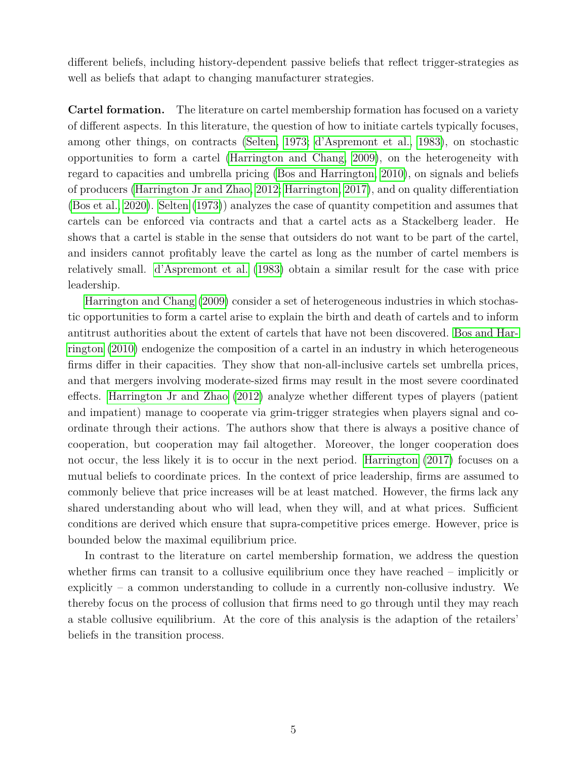different beliefs, including history-dependent passive beliefs that reflect trigger-strategies as well as beliefs that adapt to changing manufacturer strategies.

**Cartel formation.** The literature on cartel membership formation has focused on a variety of different aspects. In this literature, the question of how to initiate cartels typically focuses, among other things, on contracts [\(Selten, 1973;](#page-29-4) [d'Aspremont et al., 1983\)](#page-27-7), on stochastic opportunities to form a cartel [\(Harrington and Chang, 2009\)](#page-27-8), on the heterogeneity with regard to capacities and umbrella pricing [\(Bos and Harrington, 2010\)](#page-27-9), on signals and beliefs of producers [\(Harrington Jr and Zhao, 2012;](#page-27-10) [Harrington, 2017\)](#page-27-11), and on quality differentiation [\(Bos et al., 2020\)](#page-27-12). [Selten](#page-29-4) [\(1973\)](#page-29-4)) analyzes the case of quantity competition and assumes that cartels can be enforced via contracts and that a cartel acts as a Stackelberg leader. He shows that a cartel is stable in the sense that outsiders do not want to be part of the cartel, and insiders cannot profitably leave the cartel as long as the number of cartel members is relatively small. [d'Aspremont et al.](#page-27-7) [\(1983\)](#page-27-7) obtain a similar result for the case with price leadership.

[Harrington and Chang](#page-27-8) [\(2009\)](#page-27-8) consider a set of heterogeneous industries in which stochastic opportunities to form a cartel arise to explain the birth and death of cartels and to inform antitrust authorities about the extent of cartels that have not been discovered. [Bos and Har](#page-27-9)[rington](#page-27-9) [\(2010\)](#page-27-9) endogenize the composition of a cartel in an industry in which heterogeneous firms differ in their capacities. They show that non-all-inclusive cartels set umbrella prices, and that mergers involving moderate-sized firms may result in the most severe coordinated effects. [Harrington Jr and Zhao](#page-27-10) [\(2012\)](#page-27-10) analyze whether different types of players (patient and impatient) manage to cooperate via grim-trigger strategies when players signal and coordinate through their actions. The authors show that there is always a positive chance of cooperation, but cooperation may fail altogether. Moreover, the longer cooperation does not occur, the less likely it is to occur in the next period. [Harrington](#page-27-11) [\(2017\)](#page-27-11) focuses on a mutual beliefs to coordinate prices. In the context of price leadership, firms are assumed to commonly believe that price increases will be at least matched. However, the firms lack any shared understanding about who will lead, when they will, and at what prices. Sufficient conditions are derived which ensure that supra-competitive prices emerge. However, price is bounded below the maximal equilibrium price.

In contrast to the literature on cartel membership formation, we address the question whether firms can transit to a collusive equilibrium once they have reached – implicitly or explicitly – a common understanding to collude in a currently non-collusive industry. We thereby focus on the process of collusion that firms need to go through until they may reach a stable collusive equilibrium. At the core of this analysis is the adaption of the retailers' beliefs in the transition process.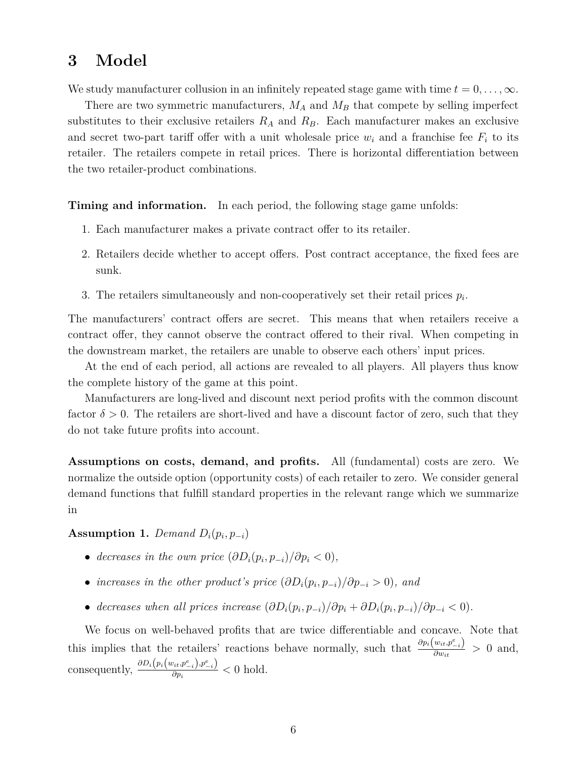# <span id="page-7-0"></span>**3 Model**

We study manufacturer collusion in an infinitely repeated stage game with time  $t = 0, \ldots, \infty$ .

There are two symmetric manufacturers,  $M_A$  and  $M_B$  that compete by selling imperfect substitutes to their exclusive retailers  $R_A$  and  $R_B$ . Each manufacturer makes an exclusive and secret two-part tariff offer with a unit wholesale price  $w_i$  and a franchise fee  $F_i$  to its retailer. The retailers compete in retail prices. There is horizontal differentiation between the two retailer-product combinations.

**Timing and information.** In each period, the following stage game unfolds:

- 1. Each manufacturer makes a private contract offer to its retailer.
- 2. Retailers decide whether to accept offers. Post contract acceptance, the fixed fees are sunk.
- 3. The retailers simultaneously and non-cooperatively set their retail prices  $p_i$ .

The manufacturers' contract offers are secret. This means that when retailers receive a contract offer, they cannot observe the contract offered to their rival. When competing in the downstream market, the retailers are unable to observe each others' input prices.

At the end of each period, all actions are revealed to all players. All players thus know the complete history of the game at this point.

Manufacturers are long-lived and discount next period profits with the common discount factor  $\delta > 0$ . The retailers are short-lived and have a discount factor of zero, such that they do not take future profits into account.

**Assumptions on costs, demand, and profits.** All (fundamental) costs are zero. We normalize the outside option (opportunity costs) of each retailer to zero. We consider general demand functions that fulfill standard properties in the relevant range which we summarize in

### <span id="page-7-1"></span>**Assumption 1.** *Demand*  $D_i(p_i, p_{-i})$

- *decreases in the own price*  $(\partial D_i(p_i, p_{-i})/\partial p_i < 0)$ *,*
- *increases in the other product's price*  $(\partial D_i(p_i, p_{-i})/\partial p_{-i} > 0)$ *, and*
- decreases when all prices increase  $(\partial D_i(p_i, p_{-i})/\partial p_i + \partial D_i(p_i, p_{-i})/\partial p_{-i} < 0)$ .

We focus on well-behaved profits that are twice differentiable and concave. Note that this implies that the retailers' reactions behave normally, such that  $\frac{\partial p_i(w_{it}, p_{-i}^e)}{\partial w_i}$  $\frac{\partial w_{it}, \mu_{-i}}{\partial w_{it}} > 0$  and, consequently,  $\frac{\partial D_i(p_i(w_{it}, p_{-i}^e), p_{-i}^e)}{\partial p_i}$  $\frac{\partial p_i}{\partial p_i}$  < 0 hold.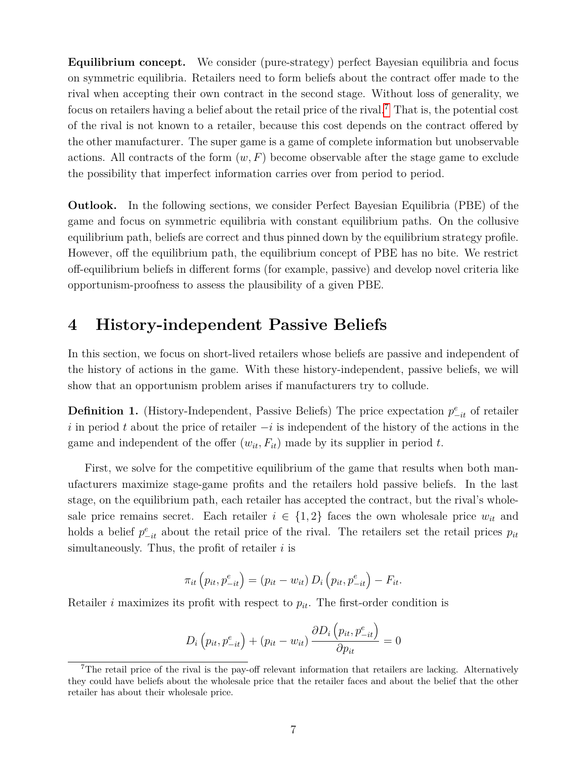**Equilibrium concept.** We consider (pure-strategy) perfect Bayesian equilibria and focus on symmetric equilibria. Retailers need to form beliefs about the contract offer made to the rival when accepting their own contract in the second stage. Without loss of generality, we focus on retailers having a belief about the retail price of the rival.<sup>[7](#page-8-1)</sup> That is, the potential cost of the rival is not known to a retailer, because this cost depends on the contract offered by the other manufacturer. The super game is a game of complete information but unobservable actions. All contracts of the form  $(w, F)$  become observable after the stage game to exclude the possibility that imperfect information carries over from period to period.

**Outlook.** In the following sections, we consider Perfect Bayesian Equilibria (PBE) of the game and focus on symmetric equilibria with constant equilibrium paths. On the collusive equilibrium path, beliefs are correct and thus pinned down by the equilibrium strategy profile. However, off the equilibrium path, the equilibrium concept of PBE has no bite. We restrict off-equilibrium beliefs in different forms (for example, passive) and develop novel criteria like opportunism-proofness to assess the plausibility of a given PBE.

### <span id="page-8-0"></span>**4 History-independent Passive Beliefs**

In this section, we focus on short-lived retailers whose beliefs are passive and independent of the history of actions in the game. With these history-independent, passive beliefs, we will show that an opportunism problem arises if manufacturers try to collude.

**Definition 1.** (History-Independent, Passive Beliefs) The price expectation  $p_{-it}^e$  of retailer *i* in period *t* about the price of retailer −*i* is independent of the history of the actions in the game and independent of the offer  $(w_{it}, F_{it})$  made by its supplier in period t.

First, we solve for the competitive equilibrium of the game that results when both manufacturers maximize stage-game profits and the retailers hold passive beliefs. In the last stage, on the equilibrium path, each retailer has accepted the contract, but the rival's wholesale price remains secret. Each retailer  $i \in \{1,2\}$  faces the own wholesale price  $w_{it}$  and holds a belief  $p_{-it}^e$  about the retail price of the rival. The retailers set the retail prices  $p_{it}$ simultaneously. Thus, the profit of retailer *i* is

$$
\pi_{it}\left(p_{it}, p_{-it}^e\right) = \left(p_{it} - w_{it}\right)D_i\left(p_{it}, p_{-it}^e\right) - F_{it}.
$$

Retailer *i* maximizes its profit with respect to  $p_{it}$ . The first-order condition is

$$
D_i\left(p_{it}, p_{-it}^e\right) + \left(p_{it} - w_{it}\right) \frac{\partial D_i\left(p_{it}, p_{-it}^e\right)}{\partial p_{it}} = 0
$$

<span id="page-8-1"></span><sup>&</sup>lt;sup>7</sup>The retail price of the rival is the pay-off relevant information that retailers are lacking. Alternatively they could have beliefs about the wholesale price that the retailer faces and about the belief that the other retailer has about their wholesale price.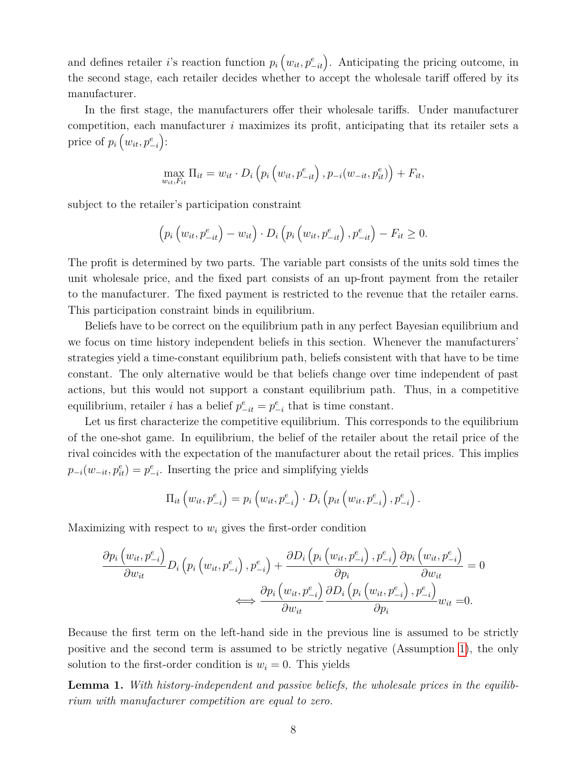and defines retailer *i*'s reaction function  $p_i(w_{it}, p_{-it}^e)$ . Anticipating the pricing outcome, in the second stage, each retailer decides whether to accept the wholesale tariff offered by its manufacturer.

In the first stage, the manufacturers offer their wholesale tariffs. Under manufacturer competition, each manufacturer *i* maximizes its profit, anticipating that its retailer sets a price of  $p_i(w_{it}, p_{-i}^e)$ :

$$
\max_{w_{it}, F_{it}} \Pi_{it} = w_{it} \cdot D_i \left( p_i \left( w_{it}, p_{-it}^e \right), p_{-i}(w_{-it}, p_{it}^e) \right) + F_{it},
$$

subject to the retailer's participation constraint

$$
\left(p_i\left(w_{it}, p_{-it}^e\right) - w_{it}\right) \cdot D_i\left(p_i\left(w_{it}, p_{-it}^e\right), p_{-it}^e\right) - F_{it} \ge 0.
$$

The profit is determined by two parts. The variable part consists of the units sold times the unit wholesale price, and the fixed part consists of an up-front payment from the retailer to the manufacturer. The fixed payment is restricted to the revenue that the retailer earns. This participation constraint binds in equilibrium.

Beliefs have to be correct on the equilibrium path in any perfect Bayesian equilibrium and we focus on time history independent beliefs in this section. Whenever the manufacturers' strategies yield a time-constant equilibrium path, beliefs consistent with that have to be time constant. The only alternative would be that beliefs change over time independent of past actions, but this would not support a constant equilibrium path. Thus, in a competitive equilibrium, retailer *i* has a belief  $p_{-it}^e = p_{-i}^e$  that is time constant.

Let us first characterize the competitive equilibrium. This corresponds to the equilibrium of the one-shot game. In equilibrium, the belief of the retailer about the retail price of the rival coincides with the expectation of the manufacturer about the retail prices. This implies  $p_{-i}(w_{-it}, p_{it}^e) = p_{-i}^e$ . Inserting the price and simplifying yields

$$
\Pi_{it}\left(w_{it}, p_{-i}^e\right) = p_i\left(w_{it}, p_{-i}^e\right) \cdot D_i\left(p_{it}\left(w_{it}, p_{-i}^e\right), p_{-i}^e\right).
$$

Maximizing with respect to *w<sup>i</sup>* gives the first-order condition

$$
\frac{\partial p_i (w_{it}, p_{-i}^e)}{\partial w_{it}} D_i \left( p_i \left( w_{it}, p_{-i}^e \right), p_{-i}^e \right) + \frac{\partial D_i \left( p_i \left( w_{it}, p_{-i}^e \right), p_{-i}^e \right)}{\partial p_i} \frac{\partial p_i \left( w_{it}, p_{-i}^e \right)}{\partial w_{it}} = 0
$$
\n
$$
\iff \frac{\partial p_i (w_{it}, p_{-i}^e)}{\partial w_{it}} \frac{\partial D_i \left( p_i \left( w_{it}, p_{-i}^e \right), p_{-i}^e \right)}{\partial p_i} w_{it} = 0.
$$

Because the first term on the left-hand side in the previous line is assumed to be strictly positive and the second term is assumed to be strictly negative (Assumption [1\)](#page-7-1), the only solution to the first-order condition is  $w_i = 0$ . This yields

<span id="page-9-0"></span>**Lemma 1.** *With history-independent and passive beliefs, the wholesale prices in the equilibrium with manufacturer competition are equal to zero.*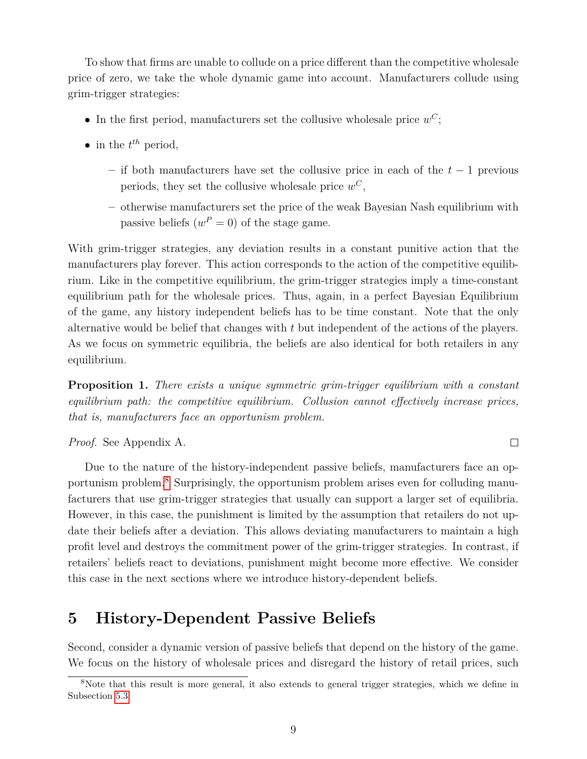To show that firms are unable to collude on a price different than the competitive wholesale price of zero, we take the whole dynamic game into account. Manufacturers collude using grim-trigger strategies:

- In the first period, manufacturers set the collusive wholesale price  $w^C$ ;
- in the  $t^{th}$  period,
	- **–** if both manufacturers have set the collusive price in each of the *t* − 1 previous periods, they set the collusive wholesale price  $w^C$ ,
	- **–** otherwise manufacturers set the price of the weak Bayesian Nash equilibrium with passive beliefs  $(w^P = 0)$  of the stage game.

With grim-trigger strategies, any deviation results in a constant punitive action that the manufacturers play forever. This action corresponds to the action of the competitive equilibrium. Like in the competitive equilibrium, the grim-trigger strategies imply a time-constant equilibrium path for the wholesale prices. Thus, again, in a perfect Bayesian Equilibrium of the game, any history independent beliefs has to be time constant. Note that the only alternative would be belief that changes with *t* but independent of the actions of the players. As we focus on symmetric equilibria, the beliefs are also identical for both retailers in any equilibrium.

<span id="page-10-2"></span>**Proposition 1.** *There exists a unique symmetric grim-trigger equilibrium with a constant equilibrium path: the competitive equilibrium. Collusion cannot effectively increase prices, that is, manufacturers face an opportunism problem.*

 $\Box$ 

*Proof.* See Appendix A.

Due to the nature of the history-independent passive beliefs, manufacturers face an opportunism problem.[8](#page-10-1) Surprisingly, the opportunism problem arises even for colluding manufacturers that use grim-trigger strategies that usually can support a larger set of equilibria. However, in this case, the punishment is limited by the assumption that retailers do not update their beliefs after a deviation. This allows deviating manufacturers to maintain a high profit level and destroys the commitment power of the grim-trigger strategies. In contrast, if retailers' beliefs react to deviations, punishment might become more effective. We consider this case in the next sections where we introduce history-dependent beliefs.

### <span id="page-10-0"></span>**5 History-Dependent Passive Beliefs**

Second, consider a dynamic version of passive beliefs that depend on the history of the game. We focus on the history of wholesale prices and disregard the history of retail prices, such

<span id="page-10-1"></span><sup>&</sup>lt;sup>8</sup>Note that this result is more general, it also extends to general trigger strategies, which we define in Subsection [5.3.](#page-17-0)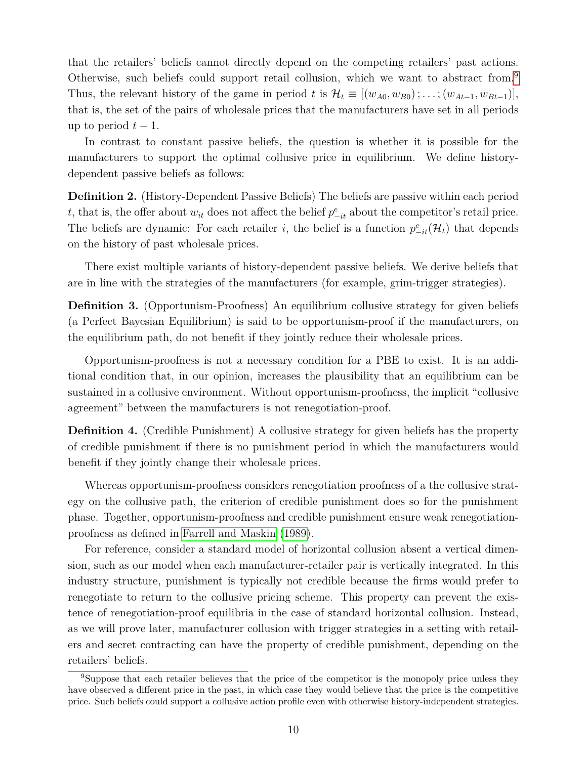that the retailers' beliefs cannot directly depend on the competing retailers' past actions. Otherwise, such beliefs could support retail collusion, which we want to abstract from.[9](#page-11-0) Thus, the relevant history of the game in period *t* is  $\mathcal{H}_t \equiv [(w_{A0}, w_{B0}); \dots; (w_{At-1}, w_{Bt-1})]$ , that is, the set of the pairs of wholesale prices that the manufacturers have set in all periods up to period  $t-1$ .

In contrast to constant passive beliefs, the question is whether it is possible for the manufacturers to support the optimal collusive price in equilibrium. We define historydependent passive beliefs as follows:

<span id="page-11-1"></span>**Definition 2.** (History-Dependent Passive Beliefs) The beliefs are passive within each period *t*, that is, the offer about  $w_{it}$  does not affect the belief  $p_{-it}^e$  about the competitor's retail price. The beliefs are dynamic: For each retailer *i*, the belief is a function  $p_{-it}^e(\mathcal{H}_t)$  that depends on the history of past wholesale prices.

There exist multiple variants of history-dependent passive beliefs. We derive beliefs that are in line with the strategies of the manufacturers (for example, grim-trigger strategies).

<span id="page-11-2"></span>**Definition 3.** (Opportunism-Proofness) An equilibrium collusive strategy for given beliefs (a Perfect Bayesian Equilibrium) is said to be opportunism-proof if the manufacturers, on the equilibrium path, do not benefit if they jointly reduce their wholesale prices.

Opportunism-proofness is not a necessary condition for a PBE to exist. It is an additional condition that, in our opinion, increases the plausibility that an equilibrium can be sustained in a collusive environment. Without opportunism-proofness, the implicit "collusive agreement" between the manufacturers is not renegotiation-proof.

**Definition 4.** (Credible Punishment) A collusive strategy for given beliefs has the property of credible punishment if there is no punishment period in which the manufacturers would benefit if they jointly change their wholesale prices.

Whereas opportunism-proofness considers renegotiation proofness of a the collusive strategy on the collusive path, the criterion of credible punishment does so for the punishment phase. Together, opportunism-proofness and credible punishment ensure weak renegotiationproofness as defined in [Farrell and Maskin](#page-27-3) [\(1989\)](#page-27-3).

For reference, consider a standard model of horizontal collusion absent a vertical dimension, such as our model when each manufacturer-retailer pair is vertically integrated. In this industry structure, punishment is typically not credible because the firms would prefer to renegotiate to return to the collusive pricing scheme. This property can prevent the existence of renegotiation-proof equilibria in the case of standard horizontal collusion. Instead, as we will prove later, manufacturer collusion with trigger strategies in a setting with retailers and secret contracting can have the property of credible punishment, depending on the retailers' beliefs.

<span id="page-11-0"></span><sup>&</sup>lt;sup>9</sup>Suppose that each retailer believes that the price of the competitor is the monopoly price unless they have observed a different price in the past, in which case they would believe that the price is the competitive price. Such beliefs could support a collusive action profile even with otherwise history-independent strategies.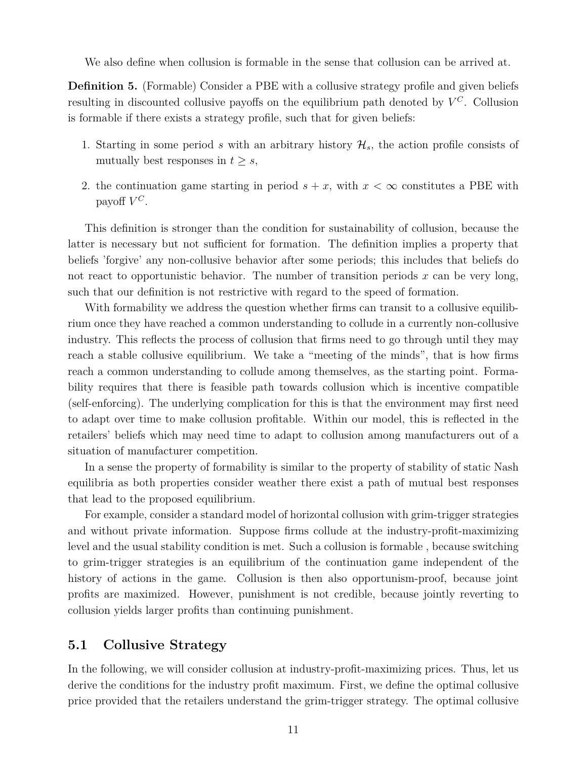We also define when collusion is formable in the sense that collusion can be arrived at.

**Definition 5.** (Formable) Consider a PBE with a collusive strategy profile and given beliefs resulting in discounted collusive payoffs on the equilibrium path denoted by *V <sup>C</sup>*. Collusion is formable if there exists a strategy profile, such that for given beliefs:

- 1. Starting in some period *s* with an arbitrary history  $\mathcal{H}_s$ , the action profile consists of mutually best responses in  $t \geq s$ ,
- 2. the continuation game starting in period  $s + x$ , with  $x < \infty$  constitutes a PBE with payoff  $V^C$ .

This definition is stronger than the condition for sustainability of collusion, because the latter is necessary but not sufficient for formation. The definition implies a property that beliefs 'forgive' any non-collusive behavior after some periods; this includes that beliefs do not react to opportunistic behavior. The number of transition periods *x* can be very long, such that our definition is not restrictive with regard to the speed of formation.

With formability we address the question whether firms can transit to a collusive equilibrium once they have reached a common understanding to collude in a currently non-collusive industry. This reflects the process of collusion that firms need to go through until they may reach a stable collusive equilibrium. We take a "meeting of the minds", that is how firms reach a common understanding to collude among themselves, as the starting point. Formability requires that there is feasible path towards collusion which is incentive compatible (self-enforcing). The underlying complication for this is that the environment may first need to adapt over time to make collusion profitable. Within our model, this is reflected in the retailers' beliefs which may need time to adapt to collusion among manufacturers out of a situation of manufacturer competition.

In a sense the property of formability is similar to the property of stability of static Nash equilibria as both properties consider weather there exist a path of mutual best responses that lead to the proposed equilibrium.

For example, consider a standard model of horizontal collusion with grim-trigger strategies and without private information. Suppose firms collude at the industry-profit-maximizing level and the usual stability condition is met. Such a collusion is formable , because switching to grim-trigger strategies is an equilibrium of the continuation game independent of the history of actions in the game. Collusion is then also opportunism-proof, because joint profits are maximized. However, punishment is not credible, because jointly reverting to collusion yields larger profits than continuing punishment.

### <span id="page-12-0"></span>**5.1 Collusive Strategy**

In the following, we will consider collusion at industry-profit-maximizing prices. Thus, let us derive the conditions for the industry profit maximum. First, we define the optimal collusive price provided that the retailers understand the grim-trigger strategy. The optimal collusive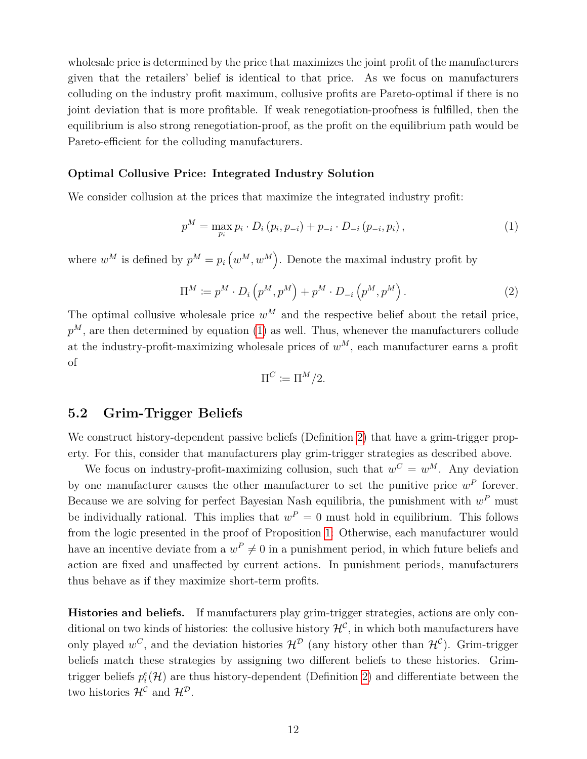wholesale price is determined by the price that maximizes the joint profit of the manufacturers given that the retailers' belief is identical to that price. As we focus on manufacturers colluding on the industry profit maximum, collusive profits are Pareto-optimal if there is no joint deviation that is more profitable. If weak renegotiation-proofness is fulfilled, then the equilibrium is also strong renegotiation-proof, as the profit on the equilibrium path would be Pareto-efficient for the colluding manufacturers.

#### **Optimal Collusive Price: Integrated Industry Solution**

We consider collusion at the prices that maximize the integrated industry profit:

<span id="page-13-0"></span>
$$
p^{M} = \max_{p_{i}} p_{i} \cdot D_{i} (p_{i}, p_{-i}) + p_{-i} \cdot D_{-i} (p_{-i}, p_{i}), \qquad (1)
$$

where  $w^M$  is defined by  $p^M = p_i(w^M, w^M)$ . Denote the maximal industry profit by

<span id="page-13-2"></span>
$$
\Pi^M := p^M \cdot D_i \left( p^M, p^M \right) + p^M \cdot D_{-i} \left( p^M, p^M \right). \tag{2}
$$

The optimal collusive wholesale price  $w^M$  and the respective belief about the retail price,  $p^M$ , are then determined by equation [\(1\)](#page-13-0) as well. Thus, whenever the manufacturers collude at the industry-profit-maximizing wholesale prices of  $w^M$ , each manufacturer earns a profit of

$$
\Pi^C := \Pi^M/2.
$$

### <span id="page-13-1"></span>**5.2 Grim-Trigger Beliefs**

We construct history-dependent passive beliefs (Definition [2\)](#page-11-1) that have a grim-trigger property. For this, consider that manufacturers play grim-trigger strategies as described above.

We focus on industry-profit-maximizing collusion, such that  $w^C = w^M$ . Any deviation by one manufacturer causes the other manufacturer to set the punitive price  $w^P$  forever. Because we are solving for perfect Bayesian Nash equilibria, the punishment with  $w^P$  must be individually rational. This implies that  $w^P = 0$  must hold in equilibrium. This follows from the logic presented in the proof of Proposition [1:](#page-10-2) Otherwise, each manufacturer would have an incentive deviate from a  $w^P \neq 0$  in a punishment period, in which future beliefs and action are fixed and unaffected by current actions. In punishment periods, manufacturers thus behave as if they maximize short-term profits.

**Histories and beliefs.** If manufacturers play grim-trigger strategies, actions are only conditional on two kinds of histories: the collusive history  $\mathcal{H}^{\mathcal{C}}$ , in which both manufacturers have only played  $w^C$ , and the deviation histories  $\mathcal{H}^D$  (any history other than  $\mathcal{H}^C$ ). Grim-trigger beliefs match these strategies by assigning two different beliefs to these histories. Grimtrigger beliefs  $p_i^e(\mathcal{H})$  are thus history-dependent (Definition [2\)](#page-11-1) and differentiate between the two histories  $\mathcal{H}^{\mathcal{C}}$  and  $\mathcal{H}^{\mathcal{D}}$ .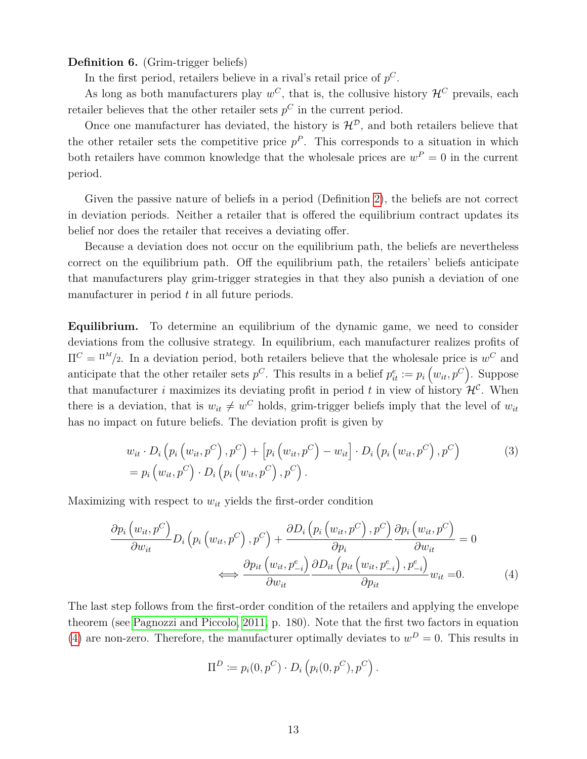**Definition 6.** (Grim-trigger beliefs)

In the first period, retailers believe in a rival's retail price of *p C*.

As long as both manufacturers play  $w^C$ , that is, the collusive history  $\mathcal{H}^C$  prevails, each retailer believes that the other retailer sets  $p^C$  in the current period.

Once one manufacturer has deviated, the history is  $\mathcal{H}^{\mathcal{D}}$ , and both retailers believe that the other retailer sets the competitive price  $p^P$ . This corresponds to a situation in which both retailers have common knowledge that the wholesale prices are  $w^P = 0$  in the current period.

Given the passive nature of beliefs in a period (Definition [2\)](#page-11-1), the beliefs are not correct in deviation periods. Neither a retailer that is offered the equilibrium contract updates its belief nor does the retailer that receives a deviating offer.

Because a deviation does not occur on the equilibrium path, the beliefs are nevertheless correct on the equilibrium path. Off the equilibrium path, the retailers' beliefs anticipate that manufacturers play grim-trigger strategies in that they also punish a deviation of one manufacturer in period *t* in all future periods.

**Equilibrium.** To determine an equilibrium of the dynamic game, we need to consider deviations from the collusive strategy. In equilibrium, each manufacturer realizes profits of  $\Pi^C = \Pi^M/2$ . In a deviation period, both retailers believe that the wholesale price is  $w^C$  and anticipate that the other retailer sets  $p^C$ . This results in a belief  $p_{it}^e := p_i(w_{it}, p^C)$ . Suppose that manufacturer *i* maximizes its deviating profit in period *t* in view of history  $\mathcal{H}^{\mathcal{C}}$ . When there is a deviation, that is  $w_{it} \neq w^C$  holds, grim-trigger beliefs imply that the level of  $w_{it}$ has no impact on future beliefs. The deviation profit is given by

$$
w_{it} \cdot D_i \left( p_i \left( w_{it}, p^C \right), p^C \right) + \left[ p_i \left( w_{it}, p^C \right) - w_{it} \right] \cdot D_i \left( p_i \left( w_{it}, p^C \right), p^C \right) = p_i \left( w_{it}, p^C \right) \cdot D_i \left( p_i \left( w_{it}, p^C \right), p^C \right).
$$
\n(3)

Maximizing with respect to  $w_{it}$  yields the first-order condition

$$
\frac{\partial p_i (w_{it}, p^C)}{\partial w_{it}} D_i \left( p_i \left( w_{it}, p^C \right), p^C \right) + \frac{\partial D_i \left( p_i \left( w_{it}, p^C \right), p^C \right)}{\partial p_i} \frac{\partial p_i \left( w_{it}, p^C \right)}{\partial w_{it}} = 0
$$
\n
$$
\iff \frac{\partial p_{it} (w_{it}, p_{-i}^e)}{\partial w_{it}} \frac{\partial D_{it} \left( p_{it} \left( w_{it}, p_{-i}^e \right), p_{-i}^e \right)}{\partial p_{it}} w_{it} = 0. \tag{4}
$$

The last step follows from the first-order condition of the retailers and applying the envelope theorem (see [Pagnozzi and Piccolo, 2011,](#page-28-10) p. 180). Note that the first two factors in equation [\(4\)](#page-14-0) are non-zero. Therefore, the manufacturer optimally deviates to  $w<sup>D</sup> = 0$ . This results in

<span id="page-14-1"></span><span id="page-14-0"></span>
$$
\Pi^D \coloneqq p_i(0, p^C) \cdot D_i\left(p_i(0, p^C), p^C\right).
$$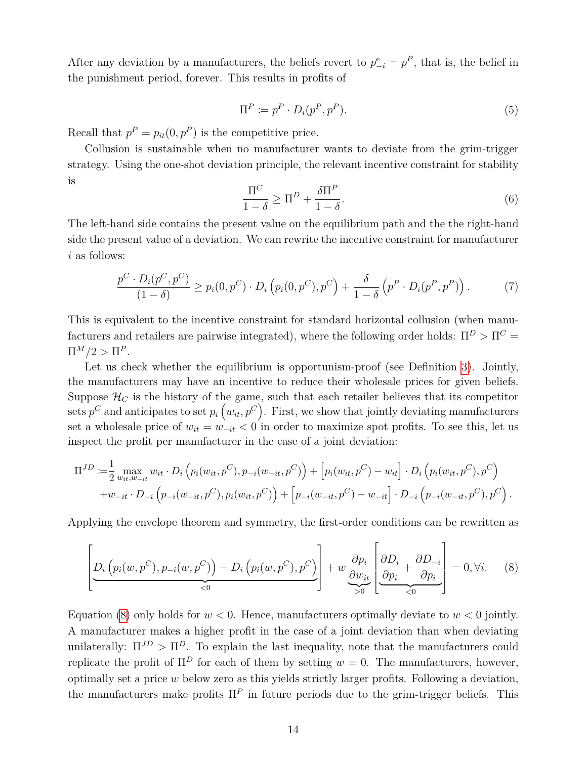After any deviation by a manufacturers, the beliefs revert to  $p_{-i}^e = p^P$ , that is, the belief in the punishment period, forever. This results in profits of

<span id="page-15-3"></span>
$$
\Pi^P \coloneqq p^P \cdot D_i(p^P, p^P). \tag{5}
$$

Recall that  $p^P = p_{it}(0, p^P)$  is the competitive price.

Collusion is sustainable when no manufacturer wants to deviate from the grim-trigger strategy. Using the one-shot deviation principle, the relevant incentive constraint for stability is

<span id="page-15-1"></span>
$$
\frac{\Pi^C}{1-\delta} \ge \Pi^D + \frac{\delta \Pi^P}{1-\delta}.\tag{6}
$$

The left-hand side contains the present value on the equilibrium path and the the right-hand side the present value of a deviation. We can rewrite the incentive constraint for manufacturer *i* as follows:

<span id="page-15-2"></span>
$$
\frac{p^C \cdot D_i(p^C, p^C)}{(1-\delta)} \ge p_i(0, p^C) \cdot D_i\left(p_i(0, p^C), p^C\right) + \frac{\delta}{1-\delta}\left(p^P \cdot D_i(p^P, p^P)\right). \tag{7}
$$

This is equivalent to the incentive constraint for standard horizontal collusion (when manufacturers and retailers are pairwise integrated), where the following order holds:  $\Pi^D > \Pi^C =$  $\Pi^M/2 > \Pi^P$ .

Let us check whether the equilibrium is opportunism-proof (see Definition [3\)](#page-11-2). Jointly, the manufacturers may have an incentive to reduce their wholesale prices for given beliefs. Suppose  $\mathcal{H}_C$  is the history of the game, such that each retailer believes that its competitor sets  $p^C$  and anticipates to set  $p_i(w_{it}, p^C)$ . First, we show that jointly deviating manufacturers set a wholesale price of  $w_{it} = w_{-it} < 0$  in order to maximize spot profits. To see this, let us inspect the profit per manufacturer in the case of a joint deviation:

$$
\Pi^{JD} := \frac{1}{2} \max_{w_{it}, w_{-it}} w_{it} \cdot D_i \left( p_i(w_{it}, p^C), p_{-i}(w_{-it}, p^C) \right) + \left[ p_i(w_{it}, p^C) - w_{it} \right] \cdot D_i \left( p_i(w_{it}, p^C), p^C \right) + w_{-it} \cdot D_{-i} \left( p_{-i}(w_{-it}, p^C), p_i(w_{it}, p^C) \right) + \left[ p_{-i}(w_{-it}, p^C) - w_{-it} \right] \cdot D_{-i} \left( p_{-i}(w_{-it}, p^C), p^C \right).
$$

Applying the envelope theorem and symmetry, the first-order conditions can be rewritten as

<span id="page-15-0"></span>
$$
\left[\underline{D_i\left(p_i(w, p^C), p_{-i}(w, p^C)\right) - D_i\left(p_i(w, p^C), p^C\right)}\right] + w \underbrace{\frac{\partial p_i}{\partial w_{it}}\left[\frac{\partial D_i}{\partial p_i} + \frac{\partial D_{-i}}{\partial p_i}\right]}_{\leq 0} = 0, \forall i. \quad (8)
$$

Equation [\(8\)](#page-15-0) only holds for  $w < 0$ . Hence, manufacturers optimally deviate to  $w < 0$  jointly. A manufacturer makes a higher profit in the case of a joint deviation than when deviating unilaterally:  $\Pi^{JD} > \Pi^{D}$ . To explain the last inequality, note that the manufacturers could replicate the profit of  $\Pi^D$  for each of them by setting  $w = 0$ . The manufacturers, however, optimally set a price *w* below zero as this yields strictly larger profits. Following a deviation, the manufacturers make profits  $\Pi^P$  in future periods due to the grim-trigger beliefs. This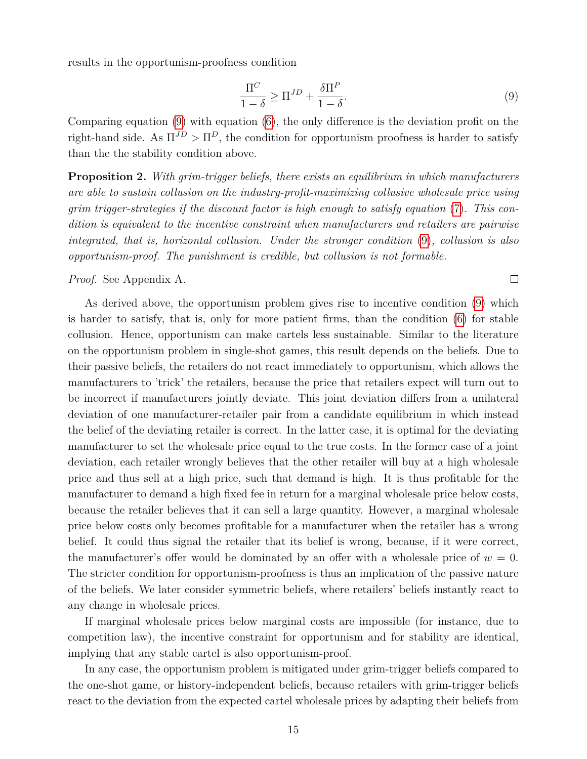results in the opportunism-proofness condition

<span id="page-16-0"></span>
$$
\frac{\Pi^C}{1-\delta} \ge \Pi^{JD} + \frac{\delta \Pi^P}{1-\delta}.\tag{9}
$$

Comparing equation [\(9\)](#page-16-0) with equation [\(6\)](#page-15-1), the only difference is the deviation profit on the right-hand side. As  $\Pi^{JD} > \Pi^D$ , the condition for opportunism proofness is harder to satisfy than the the stability condition above.

<span id="page-16-1"></span>**Proposition 2.** *With grim-trigger beliefs, there exists an equilibrium in which manufacturers are able to sustain collusion on the industry-profit-maximizing collusive wholesale price using grim trigger-strategies if the discount factor is high enough to satisfy equation* [\(7\)](#page-15-2)*. This condition is equivalent to the incentive constraint when manufacturers and retailers are pairwise integrated, that is, horizontal collusion. Under the stronger condition* [\(9\)](#page-16-0)*, collusion is also opportunism-proof. The punishment is credible, but collusion is not formable.*

*Proof.* See Appendix A.

 $\Box$ 

As derived above, the opportunism problem gives rise to incentive condition [\(9\)](#page-16-0) which is harder to satisfy, that is, only for more patient firms, than the condition [\(6\)](#page-15-1) for stable collusion. Hence, opportunism can make cartels less sustainable. Similar to the literature on the opportunism problem in single-shot games, this result depends on the beliefs. Due to their passive beliefs, the retailers do not react immediately to opportunism, which allows the manufacturers to 'trick' the retailers, because the price that retailers expect will turn out to be incorrect if manufacturers jointly deviate. This joint deviation differs from a unilateral deviation of one manufacturer-retailer pair from a candidate equilibrium in which instead the belief of the deviating retailer is correct. In the latter case, it is optimal for the deviating manufacturer to set the wholesale price equal to the true costs. In the former case of a joint deviation, each retailer wrongly believes that the other retailer will buy at a high wholesale price and thus sell at a high price, such that demand is high. It is thus profitable for the manufacturer to demand a high fixed fee in return for a marginal wholesale price below costs, because the retailer believes that it can sell a large quantity. However, a marginal wholesale price below costs only becomes profitable for a manufacturer when the retailer has a wrong belief. It could thus signal the retailer that its belief is wrong, because, if it were correct, the manufacturer's offer would be dominated by an offer with a wholesale price of  $w = 0$ . The stricter condition for opportunism-proofness is thus an implication of the passive nature of the beliefs. We later consider symmetric beliefs, where retailers' beliefs instantly react to any change in wholesale prices.

If marginal wholesale prices below marginal costs are impossible (for instance, due to competition law), the incentive constraint for opportunism and for stability are identical, implying that any stable cartel is also opportunism-proof.

In any case, the opportunism problem is mitigated under grim-trigger beliefs compared to the one-shot game, or history-independent beliefs, because retailers with grim-trigger beliefs react to the deviation from the expected cartel wholesale prices by adapting their beliefs from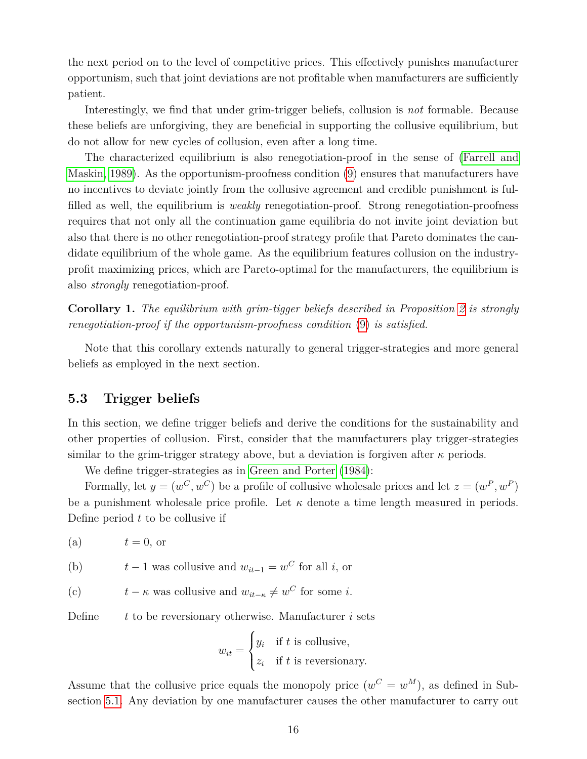the next period on to the level of competitive prices. This effectively punishes manufacturer opportunism, such that joint deviations are not profitable when manufacturers are sufficiently patient.

Interestingly, we find that under grim-trigger beliefs, collusion is *not* formable. Because these beliefs are unforgiving, they are beneficial in supporting the collusive equilibrium, but do not allow for new cycles of collusion, even after a long time.

The characterized equilibrium is also renegotiation-proof in the sense of [\(Farrell and](#page-27-3) [Maskin, 1989\)](#page-27-3). As the opportunism-proofness condition [\(9\)](#page-16-0) ensures that manufacturers have no incentives to deviate jointly from the collusive agreement and credible punishment is fulfilled as well, the equilibrium is *weakly* renegotiation-proof. Strong renegotiation-proofness requires that not only all the continuation game equilibria do not invite joint deviation but also that there is no other renegotiation-proof strategy profile that Pareto dominates the candidate equilibrium of the whole game. As the equilibrium features collusion on the industryprofit maximizing prices, which are Pareto-optimal for the manufacturers, the equilibrium is also *strongly* renegotiation-proof.

**Corollary 1.** *The equilibrium with grim-tigger beliefs described in Proposition [2](#page-16-1) is strongly renegotiation-proof if the opportunism-proofness condition* [\(9\)](#page-16-0) *is satisfied.*

Note that this corollary extends naturally to general trigger-strategies and more general beliefs as employed in the next section.

### <span id="page-17-0"></span>**5.3 Trigger beliefs**

In this section, we define trigger beliefs and derive the conditions for the sustainability and other properties of collusion. First, consider that the manufacturers play trigger-strategies similar to the grim-trigger strategy above, but a deviation is forgiven after  $\kappa$  periods.

We define trigger-strategies as in [Green and Porter](#page-27-13) [\(1984\)](#page-27-13):

Formally, let  $y = (w^C, w^C)$  be a profile of collusive wholesale prices and let  $z = (w^P, w^P)$ be a punishment wholesale price profile. Let  $\kappa$  denote a time length measured in periods. Define period *t* to be collusive if

(a) 
$$
t = 0, \text{ or}
$$

(b) 
$$
t-1
$$
 was collusive and  $w_{it-1} = w^C$  for all *i*, or

(c) 
$$
t - \kappa
$$
 was collusive and  $w_{it-\kappa} \neq w^C$  for some *i*.

Define *t* to be reversionary otherwise. Manufacturer *i* sets

$$
w_{it} = \begin{cases} y_i & \text{if } t \text{ is collusive,} \\ z_i & \text{if } t \text{ is reversionary.} \end{cases}
$$

Assume that the collusive price equals the monopoly price  $(w^C = w^M)$ , as defined in Subsection [5.1.](#page-12-0) Any deviation by one manufacturer causes the other manufacturer to carry out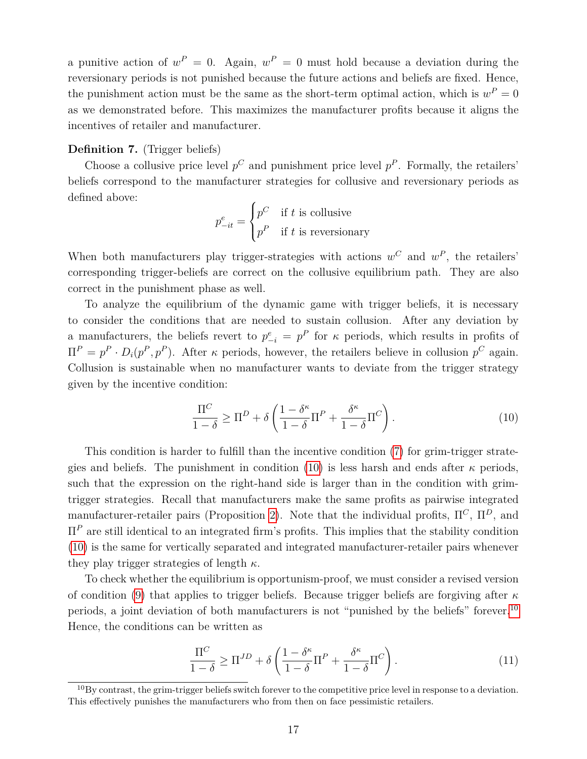a punitive action of  $w^P = 0$ . Again,  $w^P = 0$  must hold because a deviation during the reversionary periods is not punished because the future actions and beliefs are fixed. Hence, the punishment action must be the same as the short-term optimal action, which is  $w^P = 0$ as we demonstrated before. This maximizes the manufacturer profits because it aligns the incentives of retailer and manufacturer.

#### **Definition 7.** (Trigger beliefs)

Choose a collusive price level  $p^C$  and punishment price level  $p^P$ . Formally, the retailers' beliefs correspond to the manufacturer strategies for collusive and reversionary periods as defined above:

$$
p_{-it}^e = \begin{cases} p^C & \text{if } t \text{ is collusive} \\ p^P & \text{if } t \text{ is reversionary} \end{cases}
$$

When both manufacturers play trigger-strategies with actions  $w^C$  and  $w^P$ , the retailers' corresponding trigger-beliefs are correct on the collusive equilibrium path. They are also correct in the punishment phase as well.

To analyze the equilibrium of the dynamic game with trigger beliefs, it is necessary to consider the conditions that are needed to sustain collusion. After any deviation by a manufacturers, the beliefs revert to  $p_{-i}^e = p^P$  for  $\kappa$  periods, which results in profits of  $\Pi^P = p^P \cdot D_i(p^P, p^P)$ . After *κ* periods, however, the retailers believe in collusion  $p^C$  again. Collusion is sustainable when no manufacturer wants to deviate from the trigger strategy given by the incentive condition:

<span id="page-18-0"></span>
$$
\frac{\Pi^C}{1-\delta} \ge \Pi^D + \delta \left( \frac{1-\delta^{\kappa}}{1-\delta} \Pi^P + \frac{\delta^{\kappa}}{1-\delta} \Pi^C \right). \tag{10}
$$

This condition is harder to fulfill than the incentive condition [\(7\)](#page-15-2) for grim-trigger strate-gies and beliefs. The punishment in condition [\(10\)](#page-18-0) is less harsh and ends after  $\kappa$  periods, such that the expression on the right-hand side is larger than in the condition with grimtrigger strategies. Recall that manufacturers make the same profits as pairwise integrated manufacturer-retailer pairs (Proposition [2\)](#page-16-1). Note that the individual profits,  $\Pi^C$ ,  $\Pi^D$ , and Π*<sup>P</sup>* are still identical to an integrated firm's profits. This implies that the stability condition [\(10\)](#page-18-0) is the same for vertically separated and integrated manufacturer-retailer pairs whenever they play trigger strategies of length *κ*.

To check whether the equilibrium is opportunism-proof, we must consider a revised version of condition [\(9\)](#page-16-0) that applies to trigger beliefs. Because trigger beliefs are forgiving after *κ* periods, a joint deviation of both manufacturers is not "punished by the beliefs" forever.[10](#page-18-1) Hence, the conditions can be written as

<span id="page-18-2"></span>
$$
\frac{\Pi^C}{1-\delta} \ge \Pi^{JD} + \delta \left( \frac{1-\delta^{\kappa}}{1-\delta} \Pi^P + \frac{\delta^{\kappa}}{1-\delta} \Pi^C \right). \tag{11}
$$

<span id="page-18-1"></span> $10By$  contrast, the grim-trigger beliefs switch forever to the competitive price level in response to a deviation. This effectively punishes the manufacturers who from then on face pessimistic retailers.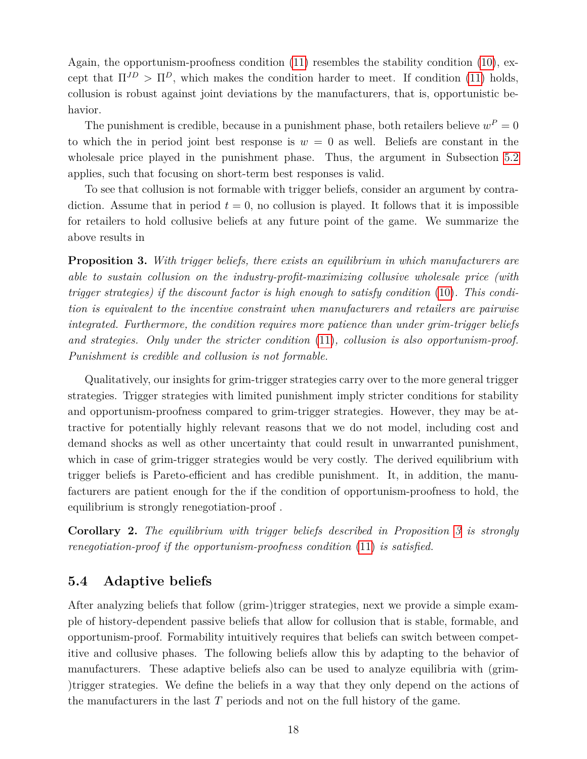Again, the opportunism-proofness condition [\(11\)](#page-18-2) resembles the stability condition [\(10\)](#page-18-0), except that  $\Pi^{JD} > \Pi^D$ , which makes the condition harder to meet. If condition [\(11\)](#page-18-2) holds, collusion is robust against joint deviations by the manufacturers, that is, opportunistic behavior.

The punishment is credible, because in a punishment phase, both retailers believe  $w^P = 0$ to which the in period joint best response is  $w = 0$  as well. Beliefs are constant in the wholesale price played in the punishment phase. Thus, the argument in Subsection [5.2](#page-13-1) applies, such that focusing on short-term best responses is valid.

To see that collusion is not formable with trigger beliefs, consider an argument by contradiction. Assume that in period  $t = 0$ , no collusion is played. It follows that it is impossible for retailers to hold collusive beliefs at any future point of the game. We summarize the above results in

<span id="page-19-0"></span>**Proposition 3.** *With trigger beliefs, there exists an equilibrium in which manufacturers are able to sustain collusion on the industry-profit-maximizing collusive wholesale price (with trigger strategies) if the discount factor is high enough to satisfy condition* [\(10\)](#page-18-0)*. This condition is equivalent to the incentive constraint when manufacturers and retailers are pairwise integrated. Furthermore, the condition requires more patience than under grim-trigger beliefs and strategies. Only under the stricter condition* [\(11\)](#page-18-2)*, collusion is also opportunism-proof. Punishment is credible and collusion is not formable.*

Qualitatively, our insights for grim-trigger strategies carry over to the more general trigger strategies. Trigger strategies with limited punishment imply stricter conditions for stability and opportunism-proofness compared to grim-trigger strategies. However, they may be attractive for potentially highly relevant reasons that we do not model, including cost and demand shocks as well as other uncertainty that could result in unwarranted punishment, which in case of grim-trigger strategies would be very costly. The derived equilibrium with trigger beliefs is Pareto-efficient and has credible punishment. It, in addition, the manufacturers are patient enough for the if the condition of opportunism-proofness to hold, the equilibrium is strongly renegotiation-proof .

**Corollary 2.** *The equilibrium with trigger beliefs described in Proposition [3](#page-19-0) is strongly renegotiation-proof if the opportunism-proofness condition* [\(11\)](#page-18-2) *is satisfied.*

### <span id="page-19-1"></span>**5.4 Adaptive beliefs**

After analyzing beliefs that follow (grim-)trigger strategies, next we provide a simple example of history-dependent passive beliefs that allow for collusion that is stable, formable, and opportunism-proof. Formability intuitively requires that beliefs can switch between competitive and collusive phases. The following beliefs allow this by adapting to the behavior of manufacturers. These adaptive beliefs also can be used to analyze equilibria with (grim- )trigger strategies. We define the beliefs in a way that they only depend on the actions of the manufacturers in the last *T* periods and not on the full history of the game.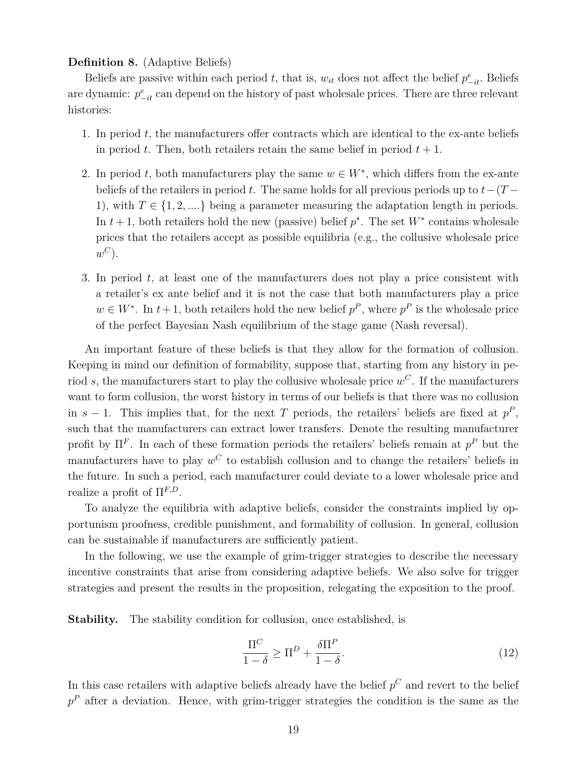#### **Definition 8.** (Adaptive Beliefs)

Beliefs are passive within each period *t*, that is,  $w_{it}$  does not affect the belief  $p_{-it}^e$ . Beliefs are dynamic:  $p_{-it}^e$  can depend on the history of past wholesale prices. There are three relevant histories:

- 1. In period *t*, the manufacturers offer contracts which are identical to the ex-ante beliefs in period *t*. Then, both retailers retain the same belief in period  $t + 1$ .
- 2. In period *t*, both manufacturers play the same  $w \in W^*$ , which differs from the ex-ante beliefs of the retailers in period *t*. The same holds for all previous periods up to *t*−(*T* − 1), with  $T \in \{1, 2, \ldots\}$  being a parameter measuring the adaptation length in periods. In  $t + 1$ , both retailers hold the new (passive) belief  $p^*$ . The set  $W^*$  contains wholesale prices that the retailers accept as possible equilibria (e.g., the collusive wholesale price  $w^C$ ).
- 3. In period *t*, at least one of the manufacturers does not play a price consistent with a retailer's ex ante belief and it is not the case that both manufacturers play a price  $w \in W^*$ . In  $t+1$ , both retailers hold the new belief  $p^P$ , where  $p^P$  is the wholesale price of the perfect Bayesian Nash equilibrium of the stage game (Nash reversal).

An important feature of these beliefs is that they allow for the formation of collusion. Keeping in mind our definition of formability, suppose that, starting from any history in period *s*, the manufacturers start to play the collusive wholesale price *w <sup>C</sup>*. If the manufacturers want to form collusion, the worst history in terms of our beliefs is that there was no collusion in  $s-1$ . This implies that, for the next *T* periods, the retailers' beliefs are fixed at  $p^P$ , such that the manufacturers can extract lower transfers. Denote the resulting manufacturer profit by  $\Pi^F$ . In each of these formation periods the retailers' beliefs remain at  $p^P$  but the manufacturers have to play  $w^C$  to establish collusion and to change the retailers' beliefs in the future. In such a period, each manufacturer could deviate to a lower wholesale price and realize a profit of Π*F,D*.

To analyze the equilibria with adaptive beliefs, consider the constraints implied by opportunism proofness, credible punishment, and formability of collusion. In general, collusion can be sustainable if manufacturers are sufficiently patient.

In the following, we use the example of grim-trigger strategies to describe the necessary incentive constraints that arise from considering adaptive beliefs. We also solve for trigger strategies and present the results in the proposition, relegating the exposition to the proof.

**Stability.** The stability condition for collusion, once established, is

<span id="page-20-0"></span>
$$
\frac{\Pi^C}{1-\delta} \ge \Pi^D + \frac{\delta \Pi^P}{1-\delta}.\tag{12}
$$

In this case retailers with adaptive beliefs already have the belief  $p^C$  and revert to the belief *p <sup>P</sup>* after a deviation. Hence, with grim-trigger strategies the condition is the same as the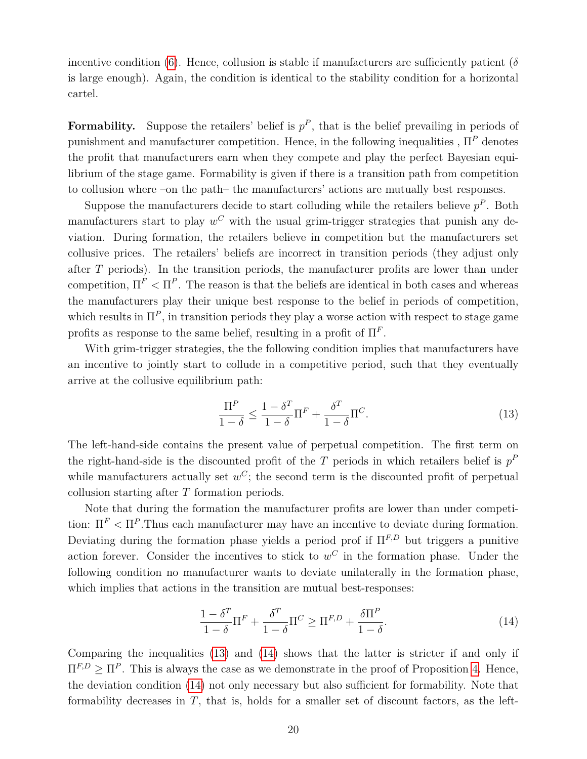incentive condition [\(6\)](#page-15-1). Hence, collusion is stable if manufacturers are sufficiently patient ( $\delta$ is large enough). Again, the condition is identical to the stability condition for a horizontal cartel.

**Formability.** Suppose the retailers' belief is  $p^P$ , that is the belief prevailing in periods of punishment and manufacturer competition. Hence, in the following inequalities , Π*<sup>P</sup>* denotes the profit that manufacturers earn when they compete and play the perfect Bayesian equilibrium of the stage game. Formability is given if there is a transition path from competition to collusion where –on the path– the manufacturers' actions are mutually best responses.

Suppose the manufacturers decide to start colluding while the retailers believe  $p^P$ . Both manufacturers start to play  $w^C$  with the usual grim-trigger strategies that punish any deviation. During formation, the retailers believe in competition but the manufacturers set collusive prices. The retailers' beliefs are incorrect in transition periods (they adjust only after *T* periods). In the transition periods, the manufacturer profits are lower than under competition,  $\Pi^F < \Pi^P$ . The reason is that the beliefs are identical in both cases and whereas the manufacturers play their unique best response to the belief in periods of competition, which results in  $\Pi^P$ , in transition periods they play a worse action with respect to stage game profits as response to the same belief, resulting in a profit of  $\Pi^F$ .

With grim-trigger strategies, the the following condition implies that manufacturers have an incentive to jointly start to collude in a competitive period, such that they eventually arrive at the collusive equilibrium path:

<span id="page-21-0"></span>
$$
\frac{\Pi^P}{1-\delta} \le \frac{1-\delta^T}{1-\delta} \Pi^F + \frac{\delta^T}{1-\delta} \Pi^C.
$$
\n(13)

The left-hand-side contains the present value of perpetual competition. The first term on the right-hand-side is the discounted profit of the  $T$  periods in which retailers belief is  $p<sup>F</sup>$ while manufacturers actually set  $w^C$ ; the second term is the discounted profit of perpetual collusion starting after *T* formation periods.

Note that during the formation the manufacturer profits are lower than under competition:  $\Pi^F < \Pi^P$ . Thus each manufacturer may have an incentive to deviate during formation. Deviating during the formation phase yields a period prof if  $\Pi^{F,D}$  but triggers a punitive action forever. Consider the incentives to stick to  $w^C$  in the formation phase. Under the following condition no manufacturer wants to deviate unilaterally in the formation phase, which implies that actions in the transition are mutual best-responses:

<span id="page-21-1"></span>
$$
\frac{1 - \delta^T}{1 - \delta} \Pi^F + \frac{\delta^T}{1 - \delta} \Pi^C \ge \Pi^{F,D} + \frac{\delta \Pi^P}{1 - \delta}.
$$
\n(14)

Comparing the inequalities [\(13\)](#page-21-0) and [\(14\)](#page-21-1) shows that the latter is stricter if and only if  $\Pi^{F,D} \geq \Pi^P$ . This is always the case as we demonstrate in the proof of Proposition [4.](#page-22-0) Hence, the deviation condition [\(14\)](#page-21-1) not only necessary but also sufficient for formability. Note that formability decreases in *T*, that is, holds for a smaller set of discount factors, as the left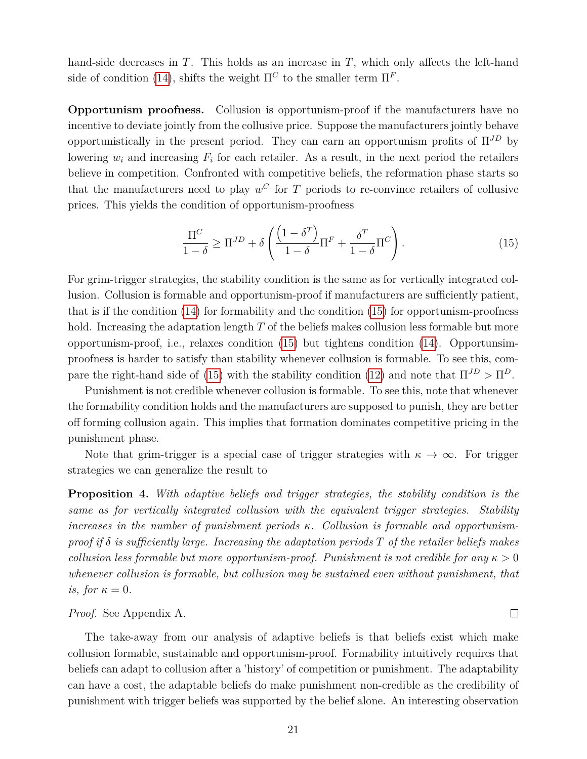hand-side decreases in *T*. This holds as an increase in *T*, which only affects the left-hand side of condition [\(14\)](#page-21-1), shifts the weight  $\Pi^C$  to the smaller term  $\Pi^F$ .

**Opportunism proofness.** Collusion is opportunism-proof if the manufacturers have no incentive to deviate jointly from the collusive price. Suppose the manufacturers jointly behave opportunistically in the present period. They can earn an opportunism profits of  $\Pi^{JD}$  by lowering  $w_i$  and increasing  $F_i$  for each retailer. As a result, in the next period the retailers believe in competition. Confronted with competitive beliefs, the reformation phase starts so that the manufacturers need to play  $w^C$  for  $T$  periods to re-convince retailers of collusive prices. This yields the condition of opportunism-proofness

<span id="page-22-1"></span>
$$
\frac{\Pi^C}{1-\delta} \ge \Pi^{JD} + \delta \left( \frac{\left(1-\delta^T\right)}{1-\delta} \Pi^F + \frac{\delta^T}{1-\delta} \Pi^C \right). \tag{15}
$$

For grim-trigger strategies, the stability condition is the same as for vertically integrated collusion. Collusion is formable and opportunism-proof if manufacturers are sufficiently patient, that is if the condition  $(14)$  for formability and the condition  $(15)$  for opportunism-proofness hold. Increasing the adaptation length *T* of the beliefs makes collusion less formable but more opportunism-proof, i.e., relaxes condition [\(15\)](#page-22-1) but tightens condition [\(14\)](#page-21-1). Opportunsimproofness is harder to satisfy than stability whenever collusion is formable. To see this, com-pare the right-hand side of [\(15\)](#page-22-1) with the stability condition [\(12\)](#page-20-0) and note that  $\Pi^{JD} > \Pi^{D}$ .

Punishment is not credible whenever collusion is formable. To see this, note that whenever the formability condition holds and the manufacturers are supposed to punish, they are better off forming collusion again. This implies that formation dominates competitive pricing in the punishment phase.

Note that grim-trigger is a special case of trigger strategies with  $\kappa \to \infty$ . For trigger strategies we can generalize the result to

<span id="page-22-0"></span>**Proposition 4.** *With adaptive beliefs and trigger strategies, the stability condition is the same as for vertically integrated collusion with the equivalent trigger strategies. Stability increases in the number of punishment periods κ. Collusion is formable and opportunismproof if δ is sufficiently large. Increasing the adaptation periods T of the retailer beliefs makes collusion less formable but more opportunism-proof. Punishment is not credible for any*  $\kappa > 0$ *whenever collusion is formable, but collusion may be sustained even without punishment, that is, for*  $\kappa = 0$ *.* 

#### *Proof.* See Appendix A.

The take-away from our analysis of adaptive beliefs is that beliefs exist which make collusion formable, sustainable and opportunism-proof. Formability intuitively requires that beliefs can adapt to collusion after a 'history' of competition or punishment. The adaptability can have a cost, the adaptable beliefs do make punishment non-credible as the credibility of punishment with trigger beliefs was supported by the belief alone. An interesting observation

 $\Box$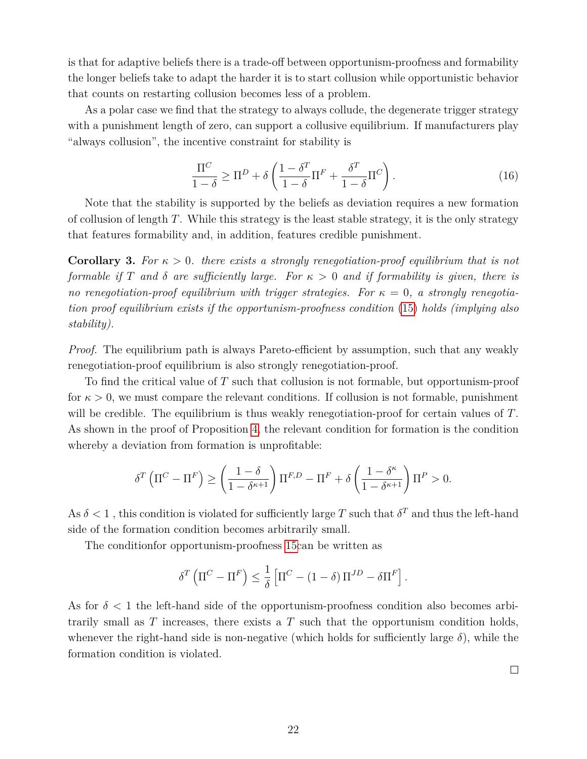is that for adaptive beliefs there is a trade-off between opportunism-proofness and formability the longer beliefs take to adapt the harder it is to start collusion while opportunistic behavior that counts on restarting collusion becomes less of a problem.

As a polar case we find that the strategy to always collude, the degenerate trigger strategy with a punishment length of zero, can support a collusive equilibrium. If manufacturers play "always collusion", the incentive constraint for stability is

$$
\frac{\Pi^C}{1-\delta} \ge \Pi^D + \delta \left( \frac{1-\delta^T}{1-\delta} \Pi^F + \frac{\delta^T}{1-\delta} \Pi^C \right). \tag{16}
$$

Note that the stability is supported by the beliefs as deviation requires a new formation of collusion of length *T*. While this strategy is the least stable strategy, it is the only strategy that features formability and, in addition, features credible punishment.

**Corollary 3.** *For κ >* 0*. there exists a strongly renegotiation-proof equilibrium that is not formable if T* and *δ* are sufficiently large. For  $\kappa > 0$  and if formability is given, there is *no renegotiation-proof equilibrium with trigger strategies. For κ* = 0*, a strongly renegotiation proof equilibrium exists if the opportunism-proofness condition* [\(15\)](#page-22-1) *holds (implying also stability).*

*Proof.* The equilibrium path is always Pareto-efficient by assumption, such that any weakly renegotiation-proof equilibrium is also strongly renegotiation-proof.

To find the critical value of *T* such that collusion is not formable, but opportunism-proof for  $\kappa > 0$ , we must compare the relevant conditions. If collusion is not formable, punishment will be credible. The equilibrium is thus weakly renegotiation-proof for certain values of *T*. As shown in the proof of Proposition [4,](#page-22-0) the relevant condition for formation is the condition whereby a deviation from formation is unprofitable:

$$
\delta^T \left( \Pi^C - \Pi^F \right) \ge \left( \frac{1 - \delta}{1 - \delta^{\kappa + 1}} \right) \Pi^{F,D} - \Pi^F + \delta \left( \frac{1 - \delta^{\kappa}}{1 - \delta^{\kappa + 1}} \right) \Pi^P > 0.
$$

As  $\delta$  < 1, this condition is violated for sufficiently large *T* such that  $\delta^T$  and thus the left-hand side of the formation condition becomes arbitrarily small.

The conditionfor opportunism-proofness [15c](#page-22-1)an be written as

$$
\delta^T \left( \Pi^C - \Pi^F \right) \leq \frac{1}{\delta} \left[ \Pi^C - \left( 1 - \delta \right) \Pi^{JD} - \delta \Pi^F \right].
$$

As for  $\delta$  < 1 the left-hand side of the opportunism-proofness condition also becomes arbitrarily small as *T* increases, there exists a *T* such that the opportunism condition holds, whenever the right-hand side is non-negative (which holds for sufficiently large  $\delta$ ), while the formation condition is violated.

 $\Box$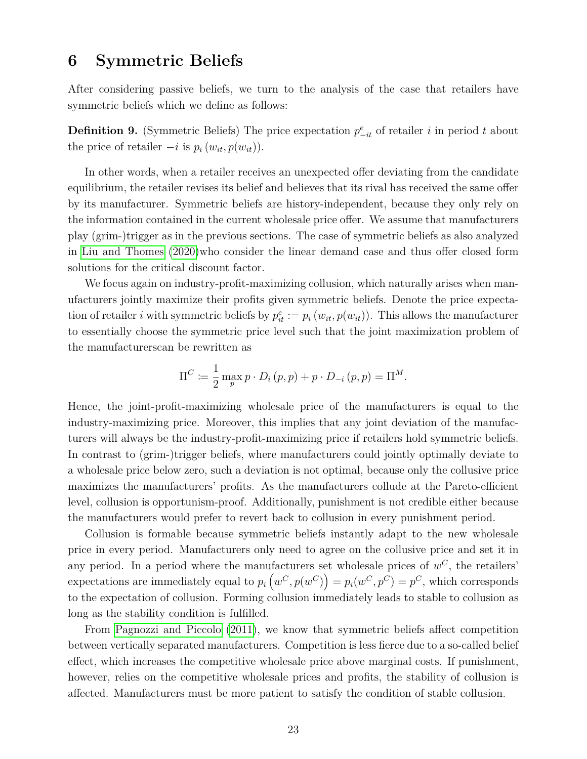### <span id="page-24-0"></span>**6 Symmetric Beliefs**

After considering passive beliefs, we turn to the analysis of the case that retailers have symmetric beliefs which we define as follows:

**Definition 9.** (Symmetric Beliefs) The price expectation  $p_{-it}^e$  of retailer *i* in period *t* about the price of retailer  $-i$  is  $p_i(w_{it}, p(w_{it}))$ .

In other words, when a retailer receives an unexpected offer deviating from the candidate equilibrium, the retailer revises its belief and believes that its rival has received the same offer by its manufacturer. Symmetric beliefs are history-independent, because they only rely on the information contained in the current wholesale price offer. We assume that manufacturers play (grim-)trigger as in the previous sections. The case of symmetric beliefs as also analyzed in [Liu and Thomes](#page-28-14) [\(2020\)](#page-28-14)who consider the linear demand case and thus offer closed form solutions for the critical discount factor.

We focus again on industry-profit-maximizing collusion, which naturally arises when manufacturers jointly maximize their profits given symmetric beliefs. Denote the price expectation of retailer *i* with symmetric beliefs by  $p_{it}^e := p_i(w_{it}, p(w_{it}))$ . This allows the manufacturer to essentially choose the symmetric price level such that the joint maximization problem of the manufacturerscan be rewritten as

$$
\Pi^{C} \coloneqq \frac{1}{2} \max_{p} p \cdot D_{i} (p, p) + p \cdot D_{-i} (p, p) = \Pi^{M}.
$$

Hence, the joint-profit-maximizing wholesale price of the manufacturers is equal to the industry-maximizing price. Moreover, this implies that any joint deviation of the manufacturers will always be the industry-profit-maximizing price if retailers hold symmetric beliefs. In contrast to (grim-)trigger beliefs, where manufacturers could jointly optimally deviate to a wholesale price below zero, such a deviation is not optimal, because only the collusive price maximizes the manufacturers' profits. As the manufacturers collude at the Pareto-efficient level, collusion is opportunism-proof. Additionally, punishment is not credible either because the manufacturers would prefer to revert back to collusion in every punishment period.

Collusion is formable because symmetric beliefs instantly adapt to the new wholesale price in every period. Manufacturers only need to agree on the collusive price and set it in any period. In a period where the manufacturers set wholesale prices of  $w^C$ , the retailers'  $\exp$  expectations are immediately equal to  $p_i(w^C, p(w^C)) = p_i(w^C, p^C) = p^C$ , which corresponds to the expectation of collusion. Forming collusion immediately leads to stable to collusion as long as the stability condition is fulfilled.

From [Pagnozzi and Piccolo](#page-28-10) [\(2011\)](#page-28-10), we know that symmetric beliefs affect competition between vertically separated manufacturers. Competition is less fierce due to a so-called belief effect, which increases the competitive wholesale price above marginal costs. If punishment, however, relies on the competitive wholesale prices and profits, the stability of collusion is affected. Manufacturers must be more patient to satisfy the condition of stable collusion.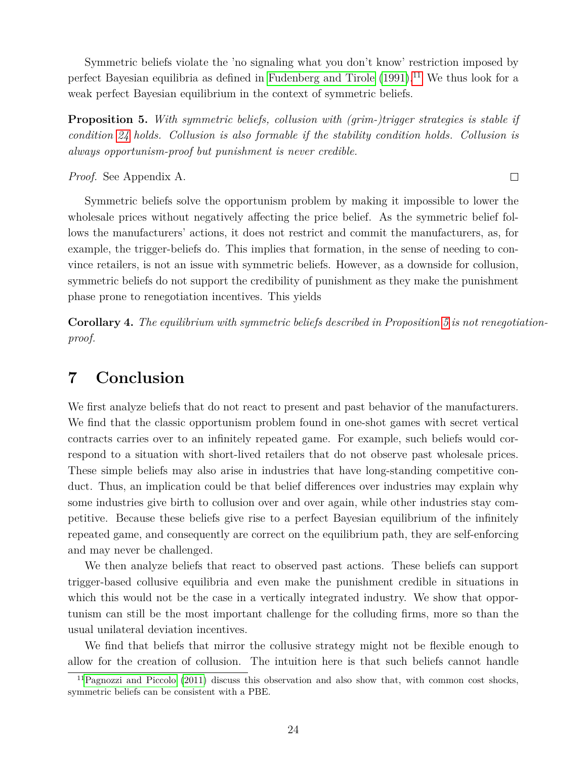Symmetric beliefs violate the 'no signaling what you don't know' restriction imposed by perfect Bayesian equilibria as defined in [Fudenberg and Tirole](#page-27-14)  $(1991).<sup>11</sup>$  $(1991).<sup>11</sup>$  $(1991).<sup>11</sup>$  $(1991).<sup>11</sup>$  We thus look for a weak perfect Bayesian equilibrium in the context of symmetric beliefs.

<span id="page-25-2"></span>**Proposition 5.** *With symmetric beliefs, collusion with (grim-)trigger strategies is stable if condition [24](#page-34-0) holds. Collusion is also formable if the stability condition holds. Collusion is always opportunism-proof but punishment is never credible.*

*Proof.* See Appendix A.

 $\Box$ 

Symmetric beliefs solve the opportunism problem by making it impossible to lower the wholesale prices without negatively affecting the price belief. As the symmetric belief follows the manufacturers' actions, it does not restrict and commit the manufacturers, as, for example, the trigger-beliefs do. This implies that formation, in the sense of needing to convince retailers, is not an issue with symmetric beliefs. However, as a downside for collusion, symmetric beliefs do not support the credibility of punishment as they make the punishment phase prone to renegotiation incentives. This yields

**Corollary 4.** *The equilibrium with symmetric beliefs described in Proposition [5](#page-25-2) is not renegotiationproof.*

# <span id="page-25-0"></span>**7 Conclusion**

We first analyze beliefs that do not react to present and past behavior of the manufacturers. We find that the classic opportunism problem found in one-shot games with secret vertical contracts carries over to an infinitely repeated game. For example, such beliefs would correspond to a situation with short-lived retailers that do not observe past wholesale prices. These simple beliefs may also arise in industries that have long-standing competitive conduct. Thus, an implication could be that belief differences over industries may explain why some industries give birth to collusion over and over again, while other industries stay competitive. Because these beliefs give rise to a perfect Bayesian equilibrium of the infinitely repeated game, and consequently are correct on the equilibrium path, they are self-enforcing and may never be challenged.

We then analyze beliefs that react to observed past actions. These beliefs can support trigger-based collusive equilibria and even make the punishment credible in situations in which this would not be the case in a vertically integrated industry. We show that opportunism can still be the most important challenge for the colluding firms, more so than the usual unilateral deviation incentives.

We find that beliefs that mirror the collusive strategy might not be flexible enough to allow for the creation of collusion. The intuition here is that such beliefs cannot handle

<span id="page-25-1"></span> $11$ [Pagnozzi and Piccolo](#page-28-10) [\(2011\)](#page-28-10) discuss this observation and also show that, with common cost shocks, symmetric beliefs can be consistent with a PBE.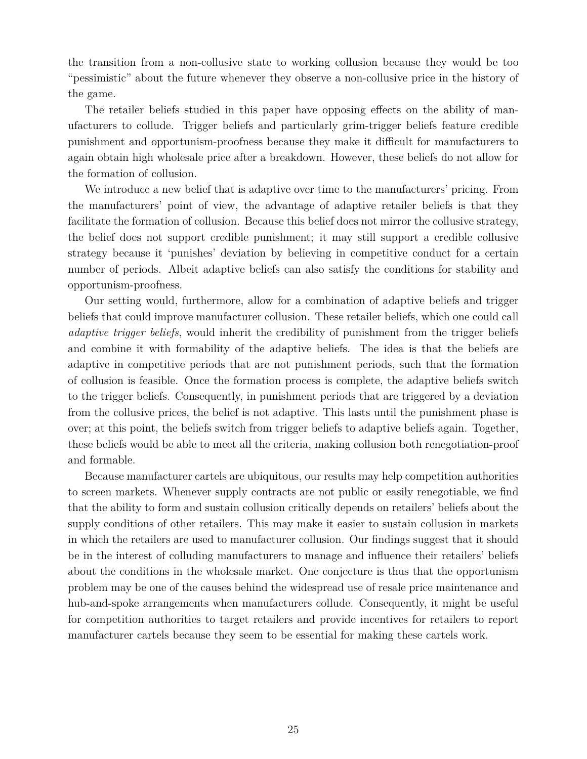the transition from a non-collusive state to working collusion because they would be too "pessimistic" about the future whenever they observe a non-collusive price in the history of the game.

The retailer beliefs studied in this paper have opposing effects on the ability of manufacturers to collude. Trigger beliefs and particularly grim-trigger beliefs feature credible punishment and opportunism-proofness because they make it difficult for manufacturers to again obtain high wholesale price after a breakdown. However, these beliefs do not allow for the formation of collusion.

We introduce a new belief that is adaptive over time to the manufacturers' pricing. From the manufacturers' point of view, the advantage of adaptive retailer beliefs is that they facilitate the formation of collusion. Because this belief does not mirror the collusive strategy, the belief does not support credible punishment; it may still support a credible collusive strategy because it 'punishes' deviation by believing in competitive conduct for a certain number of periods. Albeit adaptive beliefs can also satisfy the conditions for stability and opportunism-proofness.

Our setting would, furthermore, allow for a combination of adaptive beliefs and trigger beliefs that could improve manufacturer collusion. These retailer beliefs, which one could call *adaptive trigger beliefs*, would inherit the credibility of punishment from the trigger beliefs and combine it with formability of the adaptive beliefs. The idea is that the beliefs are adaptive in competitive periods that are not punishment periods, such that the formation of collusion is feasible. Once the formation process is complete, the adaptive beliefs switch to the trigger beliefs. Consequently, in punishment periods that are triggered by a deviation from the collusive prices, the belief is not adaptive. This lasts until the punishment phase is over; at this point, the beliefs switch from trigger beliefs to adaptive beliefs again. Together, these beliefs would be able to meet all the criteria, making collusion both renegotiation-proof and formable.

Because manufacturer cartels are ubiquitous, our results may help competition authorities to screen markets. Whenever supply contracts are not public or easily renegotiable, we find that the ability to form and sustain collusion critically depends on retailers' beliefs about the supply conditions of other retailers. This may make it easier to sustain collusion in markets in which the retailers are used to manufacturer collusion. Our findings suggest that it should be in the interest of colluding manufacturers to manage and influence their retailers' beliefs about the conditions in the wholesale market. One conjecture is thus that the opportunism problem may be one of the causes behind the widespread use of resale price maintenance and hub-and-spoke arrangements when manufacturers collude. Consequently, it might be useful for competition authorities to target retailers and provide incentives for retailers to report manufacturer cartels because they seem to be essential for making these cartels work.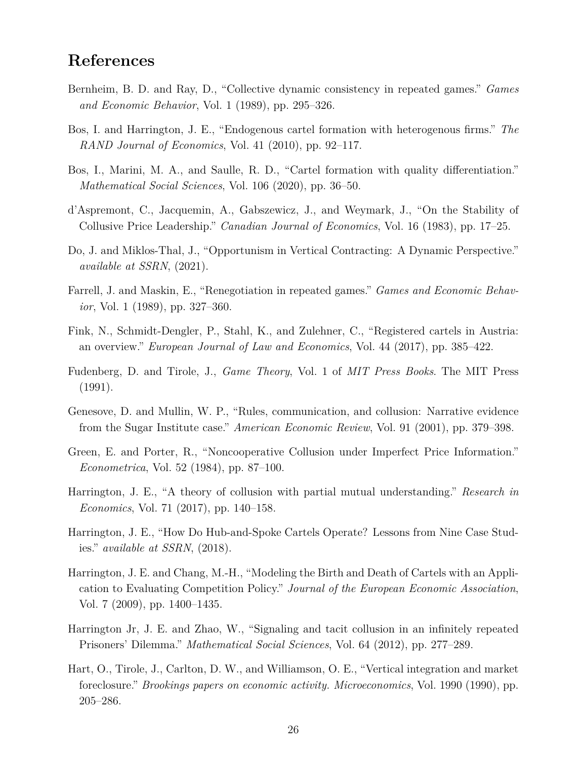# **References**

- <span id="page-27-2"></span>Bernheim, B. D. and Ray, D., "Collective dynamic consistency in repeated games." *Games and Economic Behavior*, Vol. 1 (1989), pp. 295–326.
- <span id="page-27-9"></span>Bos, I. and Harrington, J. E., "Endogenous cartel formation with heterogenous firms." *The RAND Journal of Economics*, Vol. 41 (2010), pp. 92–117.
- <span id="page-27-12"></span>Bos, I., Marini, M. A., and Saulle, R. D., "Cartel formation with quality differentiation." *Mathematical Social Sciences*, Vol. 106 (2020), pp. 36–50.
- <span id="page-27-7"></span>d'Aspremont, C., Jacquemin, A., Gabszewicz, J., and Weymark, J., "On the Stability of Collusive Price Leadership." *Canadian Journal of Economics*, Vol. 16 (1983), pp. 17–25.
- <span id="page-27-6"></span>Do, J. and Miklos-Thal, J., "Opportunism in Vertical Contracting: A Dynamic Perspective." *available at SSRN*, (2021).
- <span id="page-27-3"></span>Farrell, J. and Maskin, E., "Renegotiation in repeated games." *Games and Economic Behavior*, Vol. 1 (1989), pp. 327–360.
- <span id="page-27-4"></span>Fink, N., Schmidt-Dengler, P., Stahl, K., and Zulehner, C., "Registered cartels in Austria: an overview." *European Journal of Law and Economics*, Vol. 44 (2017), pp. 385–422.
- <span id="page-27-14"></span>Fudenberg, D. and Tirole, J., *Game Theory*, Vol. 1 of *MIT Press Books*. The MIT Press (1991).
- <span id="page-27-5"></span>Genesove, D. and Mullin, W. P., "Rules, communication, and collusion: Narrative evidence from the Sugar Institute case." *American Economic Review*, Vol. 91 (2001), pp. 379–398.
- <span id="page-27-13"></span>Green, E. and Porter, R., "Noncooperative Collusion under Imperfect Price Information." *Econometrica*, Vol. 52 (1984), pp. 87–100.
- <span id="page-27-11"></span>Harrington, J. E., "A theory of collusion with partial mutual understanding." *Research in Economics*, Vol. 71 (2017), pp. 140–158.
- <span id="page-27-1"></span>Harrington, J. E., "How Do Hub-and-Spoke Cartels Operate? Lessons from Nine Case Studies." *available at SSRN*, (2018).
- <span id="page-27-8"></span>Harrington, J. E. and Chang, M.-H., "Modeling the Birth and Death of Cartels with an Application to Evaluating Competition Policy." *Journal of the European Economic Association*, Vol. 7 (2009), pp. 1400–1435.
- <span id="page-27-10"></span>Harrington Jr, J. E. and Zhao, W., "Signaling and tacit collusion in an infinitely repeated Prisoners' Dilemma." *Mathematical Social Sciences*, Vol. 64 (2012), pp. 277–289.
- <span id="page-27-0"></span>Hart, O., Tirole, J., Carlton, D. W., and Williamson, O. E., "Vertical integration and market foreclosure." *Brookings papers on economic activity. Microeconomics*, Vol. 1990 (1990), pp. 205–286.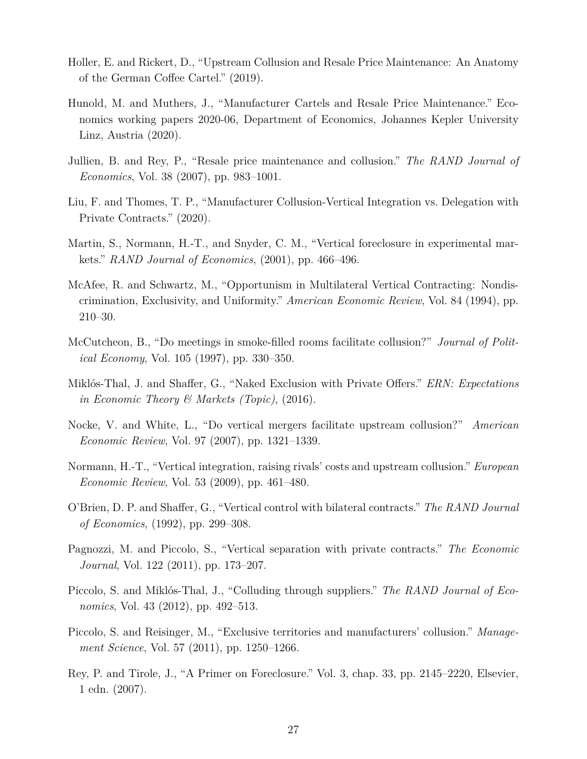- <span id="page-28-6"></span>Holler, E. and Rickert, D., "Upstream Collusion and Resale Price Maintenance: An Anatomy of the German Coffee Cartel." (2019).
- <span id="page-28-3"></span>Hunold, M. and Muthers, J., "Manufacturer Cartels and Resale Price Maintenance." Economics working papers 2020-06, Department of Economics, Johannes Kepler University Linz, Austria (2020).
- <span id="page-28-2"></span>Jullien, B. and Rey, P., "Resale price maintenance and collusion." *The RAND Journal of Economics*, Vol. 38 (2007), pp. 983–1001.
- <span id="page-28-14"></span>Liu, F. and Thomes, T. P., "Manufacturer Collusion-Vertical Integration vs. Delegation with Private Contracts." (2020).
- <span id="page-28-13"></span>Martin, S., Normann, H.-T., and Snyder, C. M., "Vertical foreclosure in experimental markets." *RAND Journal of Economics*, (2001), pp. 466–496.
- <span id="page-28-0"></span>McAfee, R. and Schwartz, M., "Opportunism in Multilateral Vertical Contracting: Nondiscrimination, Exclusivity, and Uniformity." *American Economic Review*, Vol. 84 (1994), pp. 210–30.
- <span id="page-28-1"></span>McCutcheon, B., "Do meetings in smoke-filled rooms facilitate collusion?" *Journal of Political Economy*, Vol. 105 (1997), pp. 330–350.
- <span id="page-28-12"></span>Miklós-Thal, J. and Shaffer, G., "Naked Exclusion with Private Offers." *ERN: Expectations in Economic Theory & Markets (Topic)*, (2016).
- <span id="page-28-4"></span>Nocke, V. and White, L., "Do vertical mergers facilitate upstream collusion?" *American Economic Review*, Vol. 97 (2007), pp. 1321–1339.
- <span id="page-28-5"></span>Normann, H.-T., "Vertical integration, raising rivals' costs and upstream collusion." *European Economic Review*, Vol. 53 (2009), pp. 461–480.
- <span id="page-28-9"></span>O'Brien, D. P. and Shaffer, G., "Vertical control with bilateral contracts." *The RAND Journal of Economics*, (1992), pp. 299–308.
- <span id="page-28-10"></span>Pagnozzi, M. and Piccolo, S., "Vertical separation with private contracts." *The Economic Journal*, Vol. 122 (2011), pp. 173–207.
- <span id="page-28-7"></span>Piccolo, S. and Miklós-Thal, J., "Colluding through suppliers." *The RAND Journal of Economics*, Vol. 43 (2012), pp. 492–513.
- <span id="page-28-8"></span>Piccolo, S. and Reisinger, M., "Exclusive territories and manufacturers' collusion." *Management Science*, Vol. 57 (2011), pp. 1250–1266.
- <span id="page-28-11"></span>Rey, P. and Tirole, J., "A Primer on Foreclosure." Vol. 3, chap. 33, pp. 2145–2220, Elsevier, 1 edn. (2007).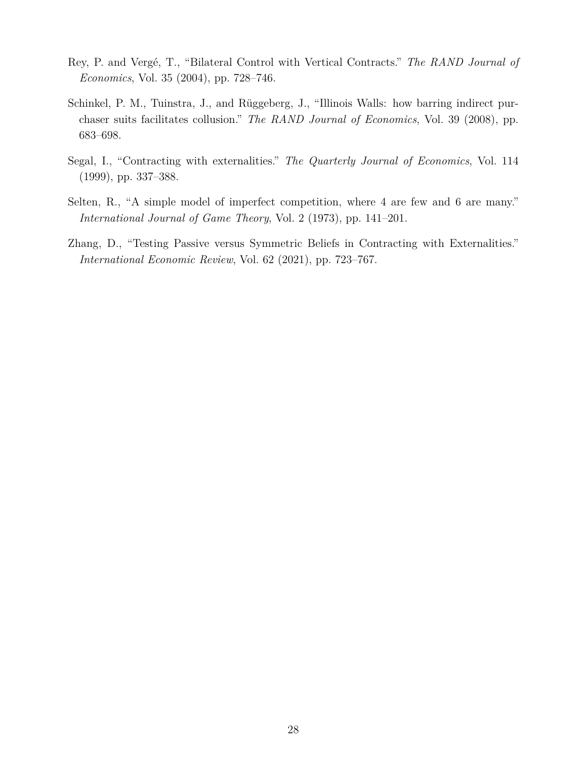- <span id="page-29-0"></span>Rey, P. and Vergé, T., "Bilateral Control with Vertical Contracts." *The RAND Journal of Economics*, Vol. 35 (2004), pp. 728–746.
- <span id="page-29-1"></span>Schinkel, P. M., Tuinstra, J., and Rüggeberg, J., "Illinois Walls: how barring indirect purchaser suits facilitates collusion." *The RAND Journal of Economics*, Vol. 39 (2008), pp. 683–698.
- <span id="page-29-2"></span>Segal, I., "Contracting with externalities." *The Quarterly Journal of Economics*, Vol. 114 (1999), pp. 337–388.
- <span id="page-29-4"></span>Selten, R., "A simple model of imperfect competition, where 4 are few and 6 are many." *International Journal of Game Theory*, Vol. 2 (1973), pp. 141–201.
- <span id="page-29-3"></span>Zhang, D., "Testing Passive versus Symmetric Beliefs in Contracting with Externalities." *International Economic Review*, Vol. 62 (2021), pp. 723–767.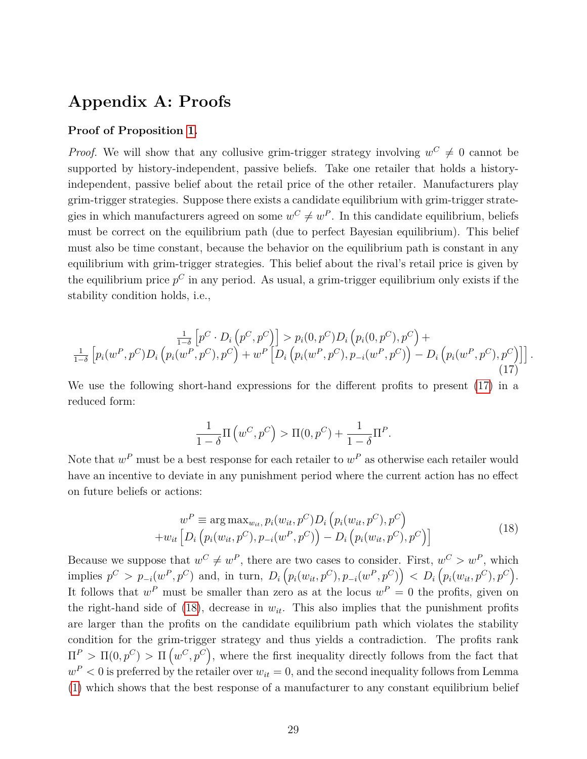# **Appendix A: Proofs**

#### **Proof of Proposition [1.](#page-10-2)**

*Proof.* We will show that any collusive grim-trigger strategy involving  $w^C \neq 0$  cannot be supported by history-independent, passive beliefs. Take one retailer that holds a historyindependent, passive belief about the retail price of the other retailer. Manufacturers play grim-trigger strategies. Suppose there exists a candidate equilibrium with grim-trigger strategies in which manufacturers agreed on some  $w^C \neq w^P$ . In this candidate equilibrium, beliefs must be correct on the equilibrium path (due to perfect Bayesian equilibrium). This belief must also be time constant, because the behavior on the equilibrium path is constant in any equilibrium with grim-trigger strategies. This belief about the rival's retail price is given by the equilibrium price *p <sup>C</sup>* in any period. As usual, a grim-trigger equilibrium only exists if the stability condition holds, i.e.,

<span id="page-30-0"></span>
$$
\frac{\frac{1}{1-\delta} \left[ p^C \cdot D_i \left( p^C, p^C \right) \right] > p_i(0, p^C) D_i \left( p_i(0, p^C), p^C \right) + \\ \frac{1}{1-\delta} \left[ p_i(w^P, p^C) D_i \left( p_i(w^P, p^C), p^C \right) + w^P \left[ D_i \left( p_i(w^P, p^C), p_{-i}(w^P, p^C) \right) - D_i \left( p_i(w^P, p^C), p^C \right) \right] \right].
$$
\n(17)

We use the following short-hand expressions for the different profits to present [\(17\)](#page-30-0) in a reduced form:

$$
\frac{1}{1-\delta}\Pi\left(w^C, p^C\right) > \Pi(0, p^C) + \frac{1}{1-\delta}\Pi^P.
$$

Note that  $w^P$  must be a best response for each retailer to  $w^P$  as otherwise each retailer would have an incentive to deviate in any punishment period where the current action has no effect on future beliefs or actions:

<span id="page-30-1"></span>
$$
w^{P} \equiv \arg \max_{w_{it}} p_{i}(w_{it}, p^{C}) D_{i} (p_{i}(w_{it}, p^{C}), p^{C}) + w_{it} [D_{i} (p_{i}(w_{it}, p^{C}), p_{-i}(w^{P}, p^{C})) - D_{i} (p_{i}(w_{it}, p^{C}), p^{C})]
$$
\n(18)

Because we suppose that  $w^C \neq w^P$ , there are two cases to consider. First,  $w^C > w^P$ , which implies  $p^C > p_{-i}(w^P, p^C)$  and, in turn,  $D_i(p_i(w_{it}, p^C), p_{-i}(w^P, p^C)) < D_i(p_i(w_{it}, p^C), p^C)$ . It follows that  $w^P$  must be smaller than zero as at the locus  $w^P = 0$  the profits, given on the right-hand side of  $(18)$ , decrease in  $w_{it}$ . This also implies that the punishment profits are larger than the profits on the candidate equilibrium path which violates the stability condition for the grim-trigger strategy and thus yields a contradiction. The profits rank  $\Pi^P > \Pi(0, p^C) > \Pi(w^C, p^C)$ , where the first inequality directly follows from the fact that  $w<sup>P</sup> < 0$  is preferred by the retailer over  $w_{it} = 0$ , and the second inequality follows from Lemma [\(1\)](#page-9-0) which shows that the best response of a manufacturer to any constant equilibrium belief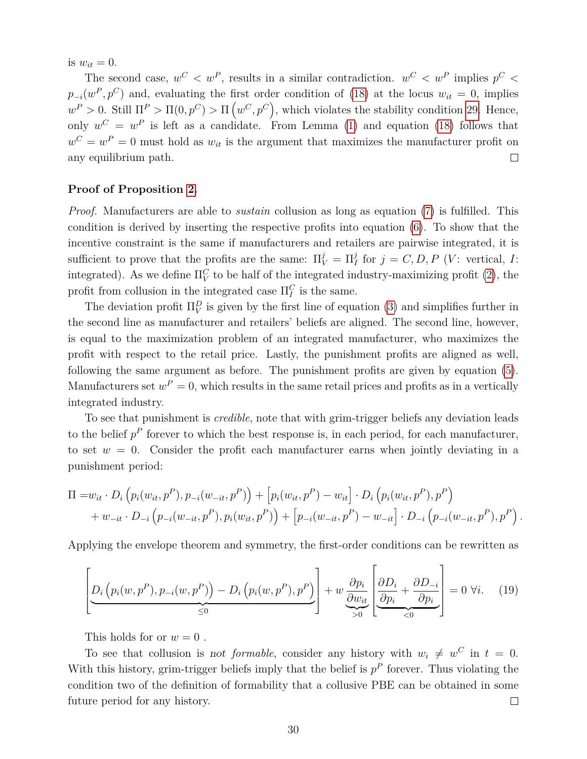is  $w_{it} = 0$ .

The second case,  $w^C < w^P$ , results in a similar contradiction.  $w^C < w^P$  implies  $p^C <$  $p_{-i}(w^P, p^C)$  and, evaluating the first order condition of [\(18\)](#page-30-1) at the locus  $w_{it} = 0$ , implies  $w^P > 0$ . Still  $\Pi^P > \Pi(0, p^C) > \Pi(w^C, p^C)$ , which violates the stability condition [29.](#page-30-0) Hence, only  $w^C = w^P$  is left as a candidate. From Lemma [\(1\)](#page-9-0) and equation [\(18\)](#page-30-1) follows that  $w^C = w^P = 0$  must hold as  $w_{it}$  is the argument that maximizes the manufacturer profit on any equilibrium path.  $\Box$ 

#### **Proof of Proposition [2.](#page-16-1)**

*Proof.* Manufacturers are able to *sustain* collusion as long as equation [\(7\)](#page-15-2) is fulfilled. This condition is derived by inserting the respective profits into equation [\(6\)](#page-15-1). To show that the incentive constraint is the same if manufacturers and retailers are pairwise integrated, it is sufficient to prove that the profits are the same:  $\Pi_V^j = \Pi_I^j$  for  $j = C, D, P$  (*V*: vertical, *I*: integrated). As we define  $\Pi_V^C$  to be half of the integrated industry-maximizing profit [\(2\)](#page-13-2), the profit from collusion in the integrated case  $\Pi_I^C$  is the same.

The deviation profit  $\Pi_V^D$  is given by the first line of equation [\(3\)](#page-14-1) and simplifies further in the second line as manufacturer and retailers' beliefs are aligned. The second line, however, is equal to the maximization problem of an integrated manufacturer, who maximizes the profit with respect to the retail price. Lastly, the punishment profits are aligned as well, following the same argument as before. The punishment profits are given by equation [\(5\)](#page-15-3). Manufacturers set  $w^P = 0$ , which results in the same retail prices and profits as in a vertically integrated industry.

To see that punishment is *credible*, note that with grim-trigger beliefs any deviation leads to the belief  $p^P$  forever to which the best response is, in each period, for each manufacturer, to set  $w = 0$ . Consider the profit each manufacturer earns when jointly deviating in a punishment period:

$$
\Pi = w_{it} \cdot D_i \left( p_i(w_{it}, p^P), p_{-i}(w_{-it}, p^P) \right) + \left[ p_i(w_{it}, p^P) - w_{it} \right] \cdot D_i \left( p_i(w_{it}, p^P), p^P \right) + w_{-it} \cdot D_{-i} \left( p_{-i}(w_{-it}, p^P), p_i(w_{it}, p^P) \right) + \left[ p_{-i}(w_{-it}, p^P) - w_{-it} \right] \cdot D_{-i} \left( p_{-i}(w_{-it}, p^P), p^P \right).
$$

Applying the envelope theorem and symmetry, the first-order conditions can be rewritten as

$$
\left[\underline{D_i\left(p_i(w, p^P), p_{-i}(w, p^P)\right) - D_i\left(p_i(w, p^P), p^P\right)}_{\leq 0}\right] + w \underbrace{\frac{\partial p_i}{\partial w_{it}} \left[\frac{\partial D_i}{\partial p_i} + \frac{\partial D_{-i}}{\partial p_i}\right]}_{\leq 0} = 0 \,\,\forall i. \tag{19}
$$

This holds for or  $w = 0$ .

To see that collusion is not *formable*, consider any history with  $w_i \neq w^C$  in  $t = 0$ . With this history, grim-trigger beliefs imply that the belief is  $p<sup>P</sup>$  forever. Thus violating the condition two of the definition of formability that a collusive PBE can be obtained in some future period for any history.  $\Box$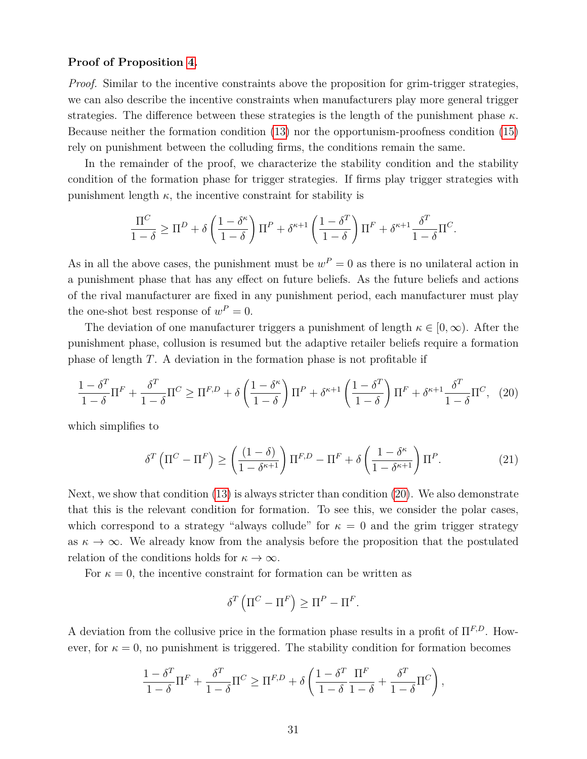#### **Proof of Proposition [4.](#page-22-0)**

*Proof.* Similar to the incentive constraints above the proposition for grim-trigger strategies, we can also describe the incentive constraints when manufacturers play more general trigger strategies. The difference between these strategies is the length of the punishment phase *κ*. Because neither the formation condition [\(13\)](#page-21-0) nor the opportunism-proofness condition [\(15\)](#page-22-1) rely on punishment between the colluding firms, the conditions remain the same.

In the remainder of the proof, we characterize the stability condition and the stability condition of the formation phase for trigger strategies. If firms play trigger strategies with punishment length  $\kappa$ , the incentive constraint for stability is

$$
\frac{\Pi^C}{1-\delta} \ge \Pi^D + \delta \left(\frac{1-\delta^{\kappa}}{1-\delta}\right) \Pi^P + \delta^{\kappa+1} \left(\frac{1-\delta^T}{1-\delta}\right) \Pi^F + \delta^{\kappa+1} \frac{\delta^T}{1-\delta} \Pi^C.
$$

As in all the above cases, the punishment must be  $w^P = 0$  as there is no unilateral action in a punishment phase that has any effect on future beliefs. As the future beliefs and actions of the rival manufacturer are fixed in any punishment period, each manufacturer must play the one-shot best response of  $w^P = 0$ .

The deviation of one manufacturer triggers a punishment of length  $\kappa \in [0,\infty)$ . After the punishment phase, collusion is resumed but the adaptive retailer beliefs require a formation phase of length *T*. A deviation in the formation phase is not profitable if

<span id="page-32-0"></span>
$$
\frac{1-\delta^T}{1-\delta}\Pi^F + \frac{\delta^T}{1-\delta}\Pi^C \ge \Pi^{F,D} + \delta\left(\frac{1-\delta^{\kappa}}{1-\delta}\right)\Pi^P + \delta^{\kappa+1}\left(\frac{1-\delta^T}{1-\delta}\right)\Pi^F + \delta^{\kappa+1}\frac{\delta^T}{1-\delta}\Pi^C,\tag{20}
$$

which simplifies to

<span id="page-32-1"></span>
$$
\delta^T \left( \Pi^C - \Pi^F \right) \ge \left( \frac{(1 - \delta)}{1 - \delta^{\kappa + 1}} \right) \Pi^{F,D} - \Pi^F + \delta \left( \frac{1 - \delta^{\kappa}}{1 - \delta^{\kappa + 1}} \right) \Pi^P. \tag{21}
$$

Next, we show that condition [\(13\)](#page-21-0) is always stricter than condition [\(20\)](#page-32-0). We also demonstrate that this is the relevant condition for formation. To see this, we consider the polar cases, which correspond to a strategy "always collude" for  $\kappa = 0$  and the grim trigger strategy as  $\kappa \to \infty$ . We already know from the analysis before the proposition that the postulated relation of the conditions holds for  $\kappa \to \infty$ .

For  $\kappa = 0$ , the incentive constraint for formation can be written as

$$
\delta^T \left( \Pi^C - \Pi^F \right) \ge \Pi^P - \Pi^F.
$$

A deviation from the collusive price in the formation phase results in a profit of Π*F,D*. However, for  $\kappa = 0$ , no punishment is triggered. The stability condition for formation becomes

$$
\frac{1 - \delta^T}{1 - \delta} \Pi^F + \frac{\delta^T}{1 - \delta} \Pi^C \ge \Pi^{F,D} + \delta \left( \frac{1 - \delta^T}{1 - \delta} \frac{\Pi^F}{1 - \delta} + \frac{\delta^T}{1 - \delta} \Pi^C \right),\,
$$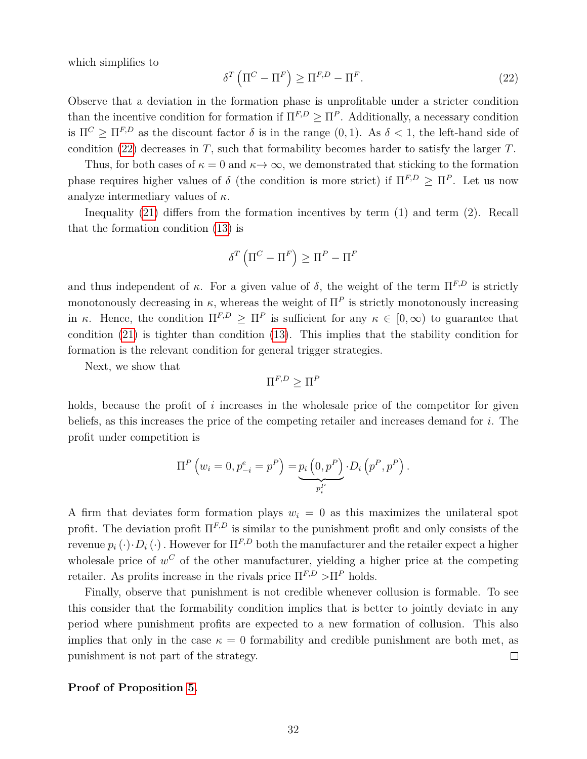which simplifies to

<span id="page-33-0"></span>
$$
\delta^T \left( \Pi^C - \Pi^F \right) \ge \Pi^{F,D} - \Pi^F. \tag{22}
$$

Observe that a deviation in the formation phase is unprofitable under a stricter condition than the incentive condition for formation if  $\Pi^{F,D} \geq \Pi^P$ . Additionally, a necessary condition is  $\Pi^C > \Pi^{F,D}$  as the discount factor  $\delta$  is in the range  $(0,1)$ . As  $\delta < 1$ , the left-hand side of condition [\(22\)](#page-33-0) decreases in *T*, such that formability becomes harder to satisfy the larger *T*.

Thus, for both cases of  $\kappa = 0$  and  $\kappa \to \infty$ , we demonstrated that sticking to the formation phase requires higher values of  $\delta$  (the condition is more strict) if  $\Pi^{F,D} \geq \Pi^P$ . Let us now analyze intermediary values of *κ*.

Inequality [\(21\)](#page-32-1) differs from the formation incentives by term (1) and term (2). Recall that the formation condition [\(13\)](#page-21-0) is

$$
\delta^T \left( \Pi^C - \Pi^F \right) \geq \Pi^P - \Pi^F
$$

and thus independent of  $\kappa$ . For a given value of  $\delta$ , the weight of the term  $\Pi^{F,D}$  is strictly monotonously decreasing in  $\kappa$ , whereas the weight of  $\Pi^P$  is strictly monotonously increasing in *κ*. Hence, the condition  $\Pi^{F,D} \geq \Pi^P$  is sufficient for any  $\kappa \in [0,\infty)$  to guarantee that condition [\(21\)](#page-32-1) is tighter than condition [\(13\)](#page-21-0). This implies that the stability condition for formation is the relevant condition for general trigger strategies.

Next, we show that

$$
\Pi^{F,D}\geq\Pi^F
$$

holds, because the profit of *i* increases in the wholesale price of the competitor for given beliefs, as this increases the price of the competing retailer and increases demand for *i*. The profit under competition is

$$
\Pi^{P} (w_{i} = 0, p_{-i}^{e} = p^{P}) = \underbrace{p_{i} (0, p^{P})}_{p_{i}^{P}} \cdot D_{i} (p^{P}, p^{P}).
$$

A firm that deviates form formation plays  $w_i = 0$  as this maximizes the unilateral spot profit. The deviation profit Π*F,D* is similar to the punishment profit and only consists of the revenue  $p_i(\cdot) \cdot D_i(\cdot)$ . However for  $\Pi^{F,D}$  both the manufacturer and the retailer expect a higher wholesale price of  $w^C$  of the other manufacturer, yielding a higher price at the competing retailer. As profits increase in the rivals price  $\Pi^{F,D} > \Pi^P$  holds.

Finally, observe that punishment is not credible whenever collusion is formable. To see this consider that the formability condition implies that is better to jointly deviate in any period where punishment profits are expected to a new formation of collusion. This also implies that only in the case  $\kappa = 0$  formability and credible punishment are both met, as punishment is not part of the strategy.  $\Box$ 

#### **Proof of Proposition [5.](#page-25-2)**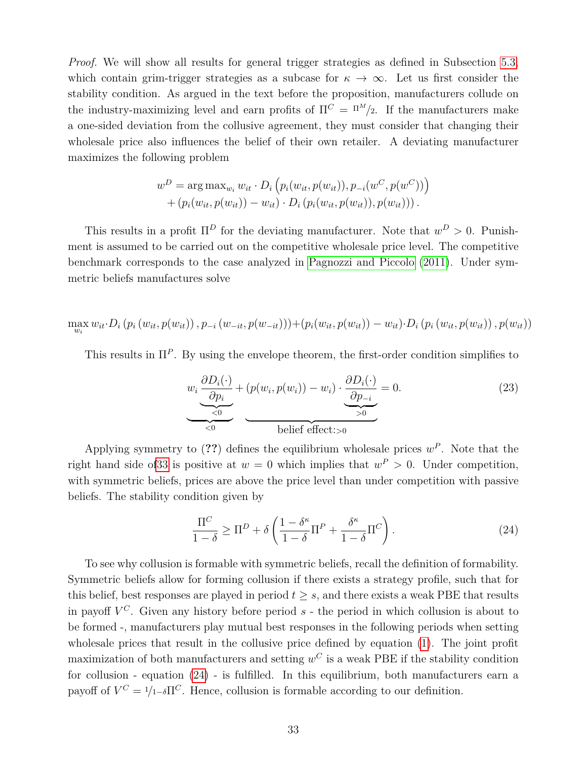*Proof.* We will show all results for general trigger strategies as defined in Subsection [5.3,](#page-17-0) which contain grim-trigger strategies as a subcase for  $\kappa \to \infty$ . Let us first consider the stability condition. As argued in the text before the proposition, manufacturers collude on the industry-maximizing level and earn profits of  $\Pi^C = \Pi^M/2$ . If the manufacturers make a one-sided deviation from the collusive agreement, they must consider that changing their wholesale price also influences the belief of their own retailer. A deviating manufacturer maximizes the following problem

$$
w^{D} = \arg \max_{w_{i}} w_{it} \cdot D_{i} (p_{i}(w_{it}, p(w_{it})), p_{-i}(w^{C}, p(w^{C})) )
$$
  
+  $(p_{i}(w_{it}, p(w_{it})) - w_{it}) \cdot D_{i} (p_{i}(w_{it}, p(w_{it})), p(w_{it})))$ .

This results in a profit  $\Pi^D$  for the deviating manufacturer. Note that  $w^D > 0$ . Punishment is assumed to be carried out on the competitive wholesale price level. The competitive benchmark corresponds to the case analyzed in [Pagnozzi and Piccolo](#page-28-10) [\(2011\)](#page-28-10). Under symmetric beliefs manufactures solve

$$
\max_{w_i} w_{it} \cdot D_i \left( p_i \left( w_{it}, p(w_{it}) \right), p_{-i} \left( w_{-it}, p(w_{-it}) \right) \right) + \left( p_i \left( w_{it}, p(w_{it}) \right) - w_{it} \right) \cdot D_i \left( p_i \left( w_{it}, p(w_{it}) \right), p(w_{it}) \right)
$$

This results in  $\Pi^P$ . By using the envelope theorem, the first-order condition simplifies to

<span id="page-34-1"></span>
$$
w_i \underbrace{\frac{\partial D_i(\cdot)}{\partial p_i}}_{\leq 0} + (p(w_i, p(w_i)) - w_i) \cdot \underbrace{\frac{\partial D_i(\cdot)}{\partial p_{-i}}}_{\geq 0} = 0.
$$
\n(23)

Applying symmetry to  $(??)$  defines the equilibrium wholesale prices  $w^P$ . Note that the right hand side of 33 is positive at  $w = 0$  which implies that  $w^P > 0$ . Under competition, with symmetric beliefs, prices are above the price level than under competition with passive beliefs. The stability condition given by

<span id="page-34-0"></span>
$$
\frac{\Pi^C}{1-\delta} \ge \Pi^D + \delta \left( \frac{1-\delta^{\kappa}}{1-\delta} \Pi^P + \frac{\delta^{\kappa}}{1-\delta} \Pi^C \right). \tag{24}
$$

To see why collusion is formable with symmetric beliefs, recall the definition of formability. Symmetric beliefs allow for forming collusion if there exists a strategy profile, such that for this belief, best responses are played in period  $t \geq s$ , and there exists a weak PBE that results in payoff *V <sup>C</sup>*. Given any history before period *s* - the period in which collusion is about to be formed -, manufacturers play mutual best responses in the following periods when setting wholesale prices that result in the collusive price defined by equation [\(1\)](#page-13-0). The joint profit maximization of both manufacturers and setting  $w^C$  is a weak PBE if the stability condition for collusion - equation [\(24\)](#page-34-0) - is fulfilled. In this equilibrium, both manufacturers earn a payoff of  $V^C = 1/1-\delta\Pi^C$ . Hence, collusion is formable according to our definition.